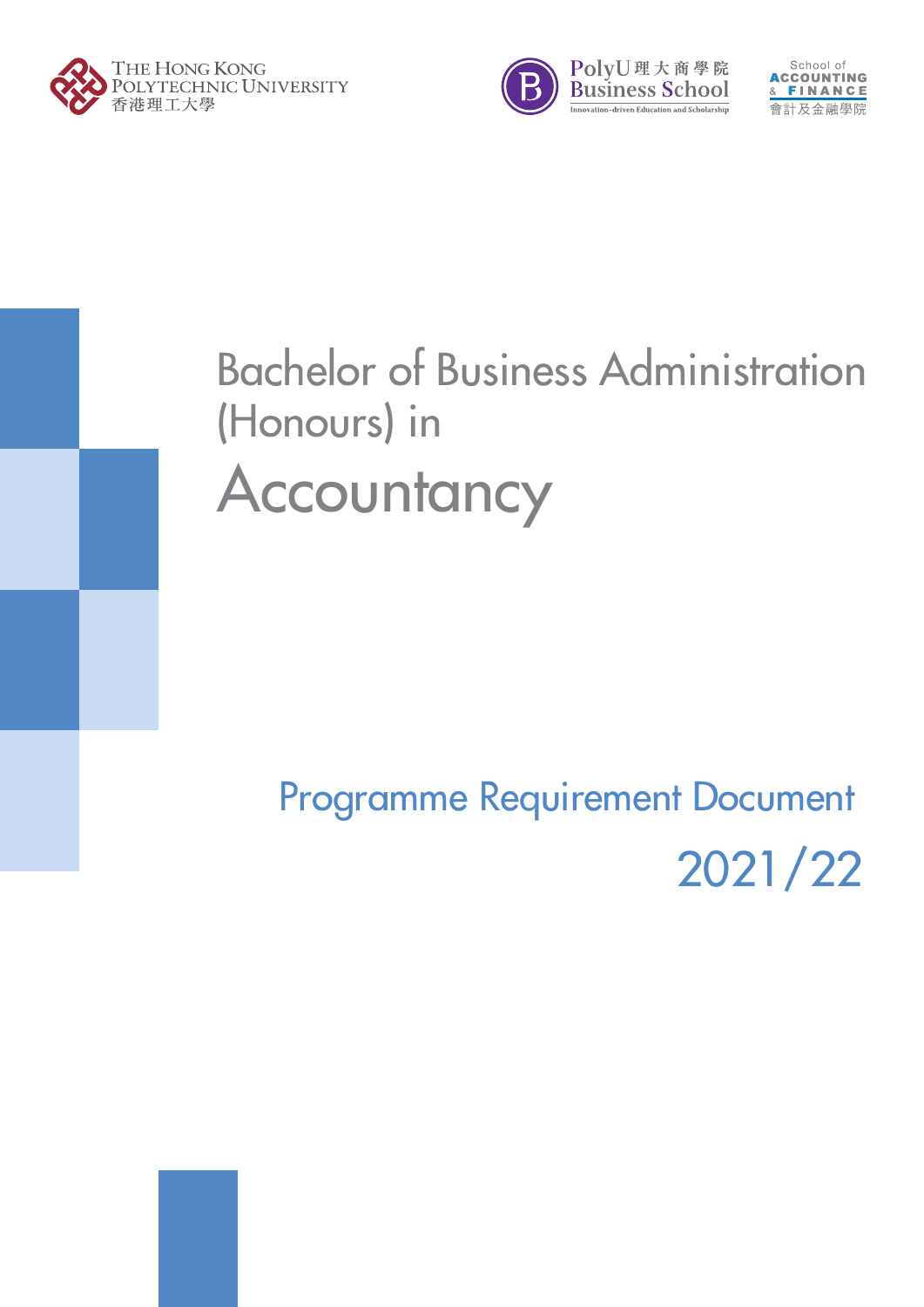





# Bachelor of Business Administration (Honours) in **Accountancy**

## 2021/22 Programme Requirement Document

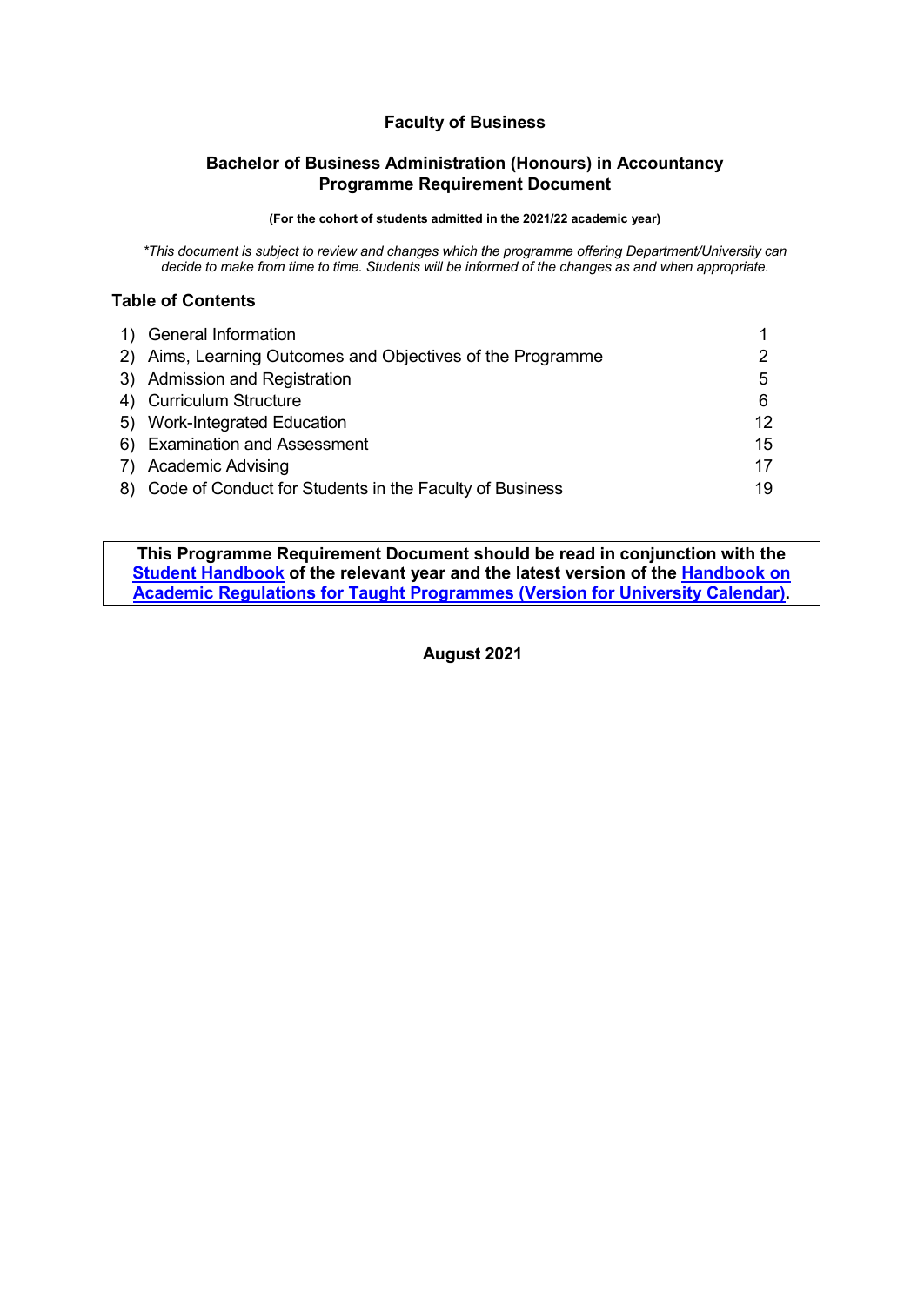## **Faculty of Business**

#### **Bachelor of Business Administration (Honours) in Accountancy Programme Requirement Document**

#### **(For the cohort of students admitted in the 2021/22 academic year)**

*\*This document is subject to review and changes which the programme offering Department/University can decide to make from time to time. Students will be informed of the changes as and when appropriate.*

#### **Table of Contents**

| 1) General Information                                     |    |
|------------------------------------------------------------|----|
| 2) Aims, Learning Outcomes and Objectives of the Programme |    |
| 3) Admission and Registration                              | 5  |
| 4) Curriculum Structure                                    | 6  |
| 5) Work-Integrated Education                               | 12 |
| 6) Examination and Assessment                              | 15 |
| 7) Academic Advising                                       | 17 |
| 8) Code of Conduct for Students in the Faculty of Business | 19 |

**This Programme Requirement Document should be read in conjunction with the [Student Handbook](https://www.polyu.edu.hk/ar/web/en/for-polyu-students/student-handbook/index.html) of the relevant year and the latest version of the [Handbook on](https://www.polyu.edu.hk/ar/web/en/for-polyu-students/academic-regulations/index.html)  [Academic Regulations for Taught Programmes \(Version for University Calendar\).](https://www.polyu.edu.hk/ar/web/en/for-polyu-students/academic-regulations/index.html)**

**August 2021**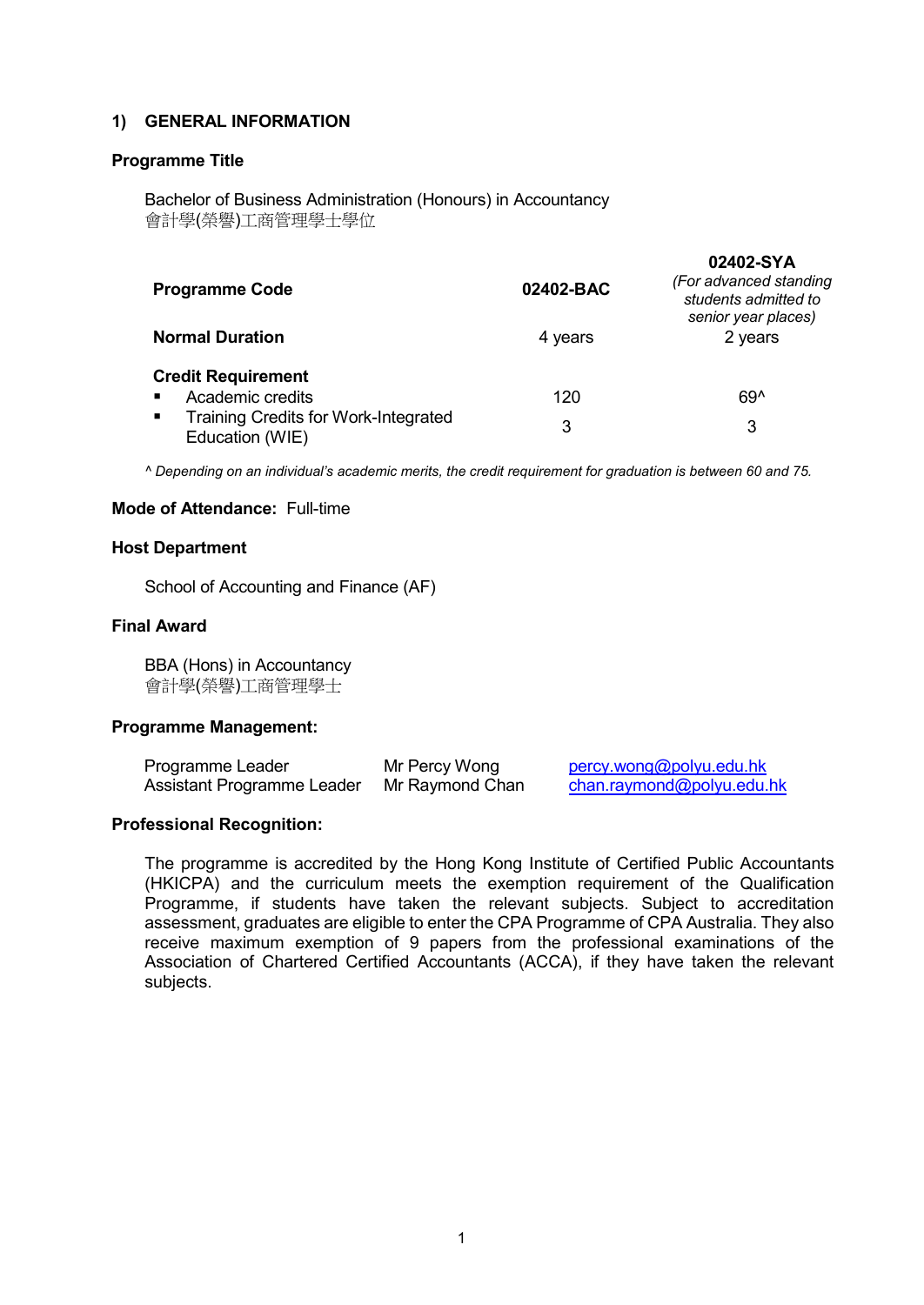## **1) GENERAL INFORMATION**

#### **Programme Title**

Bachelor of Business Administration (Honours) in Accountancy 會計學(榮譽)工商管理學士學位

| <b>Programme Code</b>                                                            |  | 02402-BAC | 02402-SYA<br>(For advanced standing<br>students admitted to<br>senior year places) |
|----------------------------------------------------------------------------------|--|-----------|------------------------------------------------------------------------------------|
| <b>Normal Duration</b>                                                           |  | 4 years   | 2 years                                                                            |
| <b>Credit Requirement</b>                                                        |  |           |                                                                                    |
| Academic credits                                                                 |  | 120       | 69^                                                                                |
| <b>Training Credits for Work-Integrated</b><br>$\blacksquare$<br>Education (WIE) |  | 3         | 3                                                                                  |

*^ Depending on an individual's academic merits, the credit requirement for graduation is between 60 and 75.* 

#### **Mode of Attendance:** Full-time

#### **Host Department**

School of Accounting and Finance (AF)

#### **Final Award**

BBA (Hons) in Accountancy 會計學(榮譽)工商管理學士

#### **Programme Management:**

| Programme Leader           | Mr Percy Wong   | percy.wong@polyu.edu.hk   |
|----------------------------|-----------------|---------------------------|
| Assistant Programme Leader | Mr Raymond Chan | chan.raymond@polyu.edu.hk |

## **Professional Recognition:**

The programme is accredited by the Hong Kong Institute of Certified Public Accountants (HKICPA) and the curriculum meets the exemption requirement of the Qualification Programme, if students have taken the relevant subjects. Subject to accreditation assessment, graduates are eligible to enter the CPA Programme of CPA Australia. They also receive maximum exemption of 9 papers from the professional examinations of the Association of Chartered Certified Accountants (ACCA), if they have taken the relevant subjects.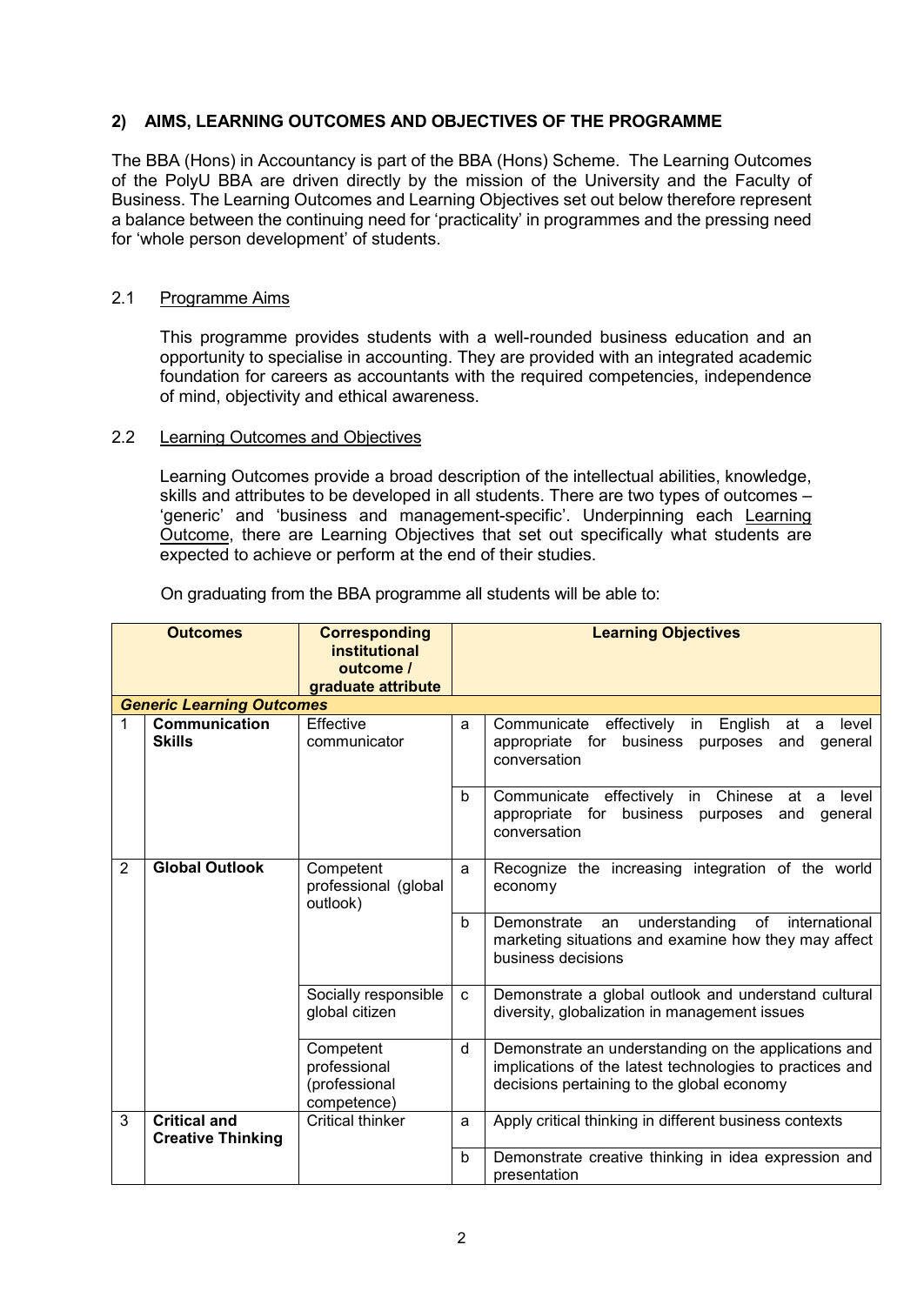## **2) AIMS, LEARNING OUTCOMES AND OBJECTIVES OF THE PROGRAMME**

The BBA (Hons) in Accountancy is part of the BBA (Hons) Scheme. The Learning Outcomes of the PolyU BBA are driven directly by the mission of the University and the Faculty of Business. The Learning Outcomes and Learning Objectives set out below therefore represent a balance between the continuing need for 'practicality' in programmes and the pressing need for 'whole person development' of students.

## 2.1 Programme Aims

This programme provides students with a well-rounded business education and an opportunity to specialise in accounting. They are provided with an integrated academic foundation for careers as accountants with the required competencies, independence of mind, objectivity and ethical awareness.

#### 2.2 Learning Outcomes and Objectives

Learning Outcomes provide a broad description of the intellectual abilities, knowledge, skills and attributes to be developed in all students. There are two types of outcomes – 'generic' and 'business and management-specific'. Underpinning each Learning Outcome, there are Learning Objectives that set out specifically what students are expected to achieve or perform at the end of their studies.

| <b>Outcomes</b> |                                                 | <b>Corresponding</b><br><b>institutional</b><br>outcome /<br>graduate attribute |   | <b>Learning Objectives</b>                                                                                                                                     |
|-----------------|-------------------------------------------------|---------------------------------------------------------------------------------|---|----------------------------------------------------------------------------------------------------------------------------------------------------------------|
|                 | <b>Generic Learning Outcomes</b>                |                                                                                 |   |                                                                                                                                                                |
| 1               | <b>Communication</b><br><b>Skills</b>           | Effective<br>communicator                                                       | a | Communicate<br>effectively in English at a<br>level<br>appropriate for<br>business purposes<br>and<br>general<br>conversation                                  |
|                 |                                                 |                                                                                 | b | Communicate effectively in Chinese at<br>level<br>a<br>appropriate for<br>business purposes<br>and<br>general<br>conversation                                  |
| $\overline{2}$  | <b>Global Outlook</b>                           | Competent<br>professional (global<br>outlook)                                   | a | Recognize the increasing integration of the world<br>economy                                                                                                   |
|                 |                                                 |                                                                                 | b | understanding of international<br>Demonstrate<br>an<br>marketing situations and examine how they may affect<br>business decisions                              |
|                 |                                                 | Socially responsible<br>global citizen                                          | C | Demonstrate a global outlook and understand cultural<br>diversity, globalization in management issues                                                          |
|                 |                                                 | Competent<br>professional<br>(professional<br>competence)                       | d | Demonstrate an understanding on the applications and<br>implications of the latest technologies to practices and<br>decisions pertaining to the global economy |
| 3               | <b>Critical and</b><br><b>Creative Thinking</b> | <b>Critical thinker</b>                                                         | a | Apply critical thinking in different business contexts                                                                                                         |
|                 |                                                 |                                                                                 | b | Demonstrate creative thinking in idea expression and<br>presentation                                                                                           |

On graduating from the BBA programme all students will be able to: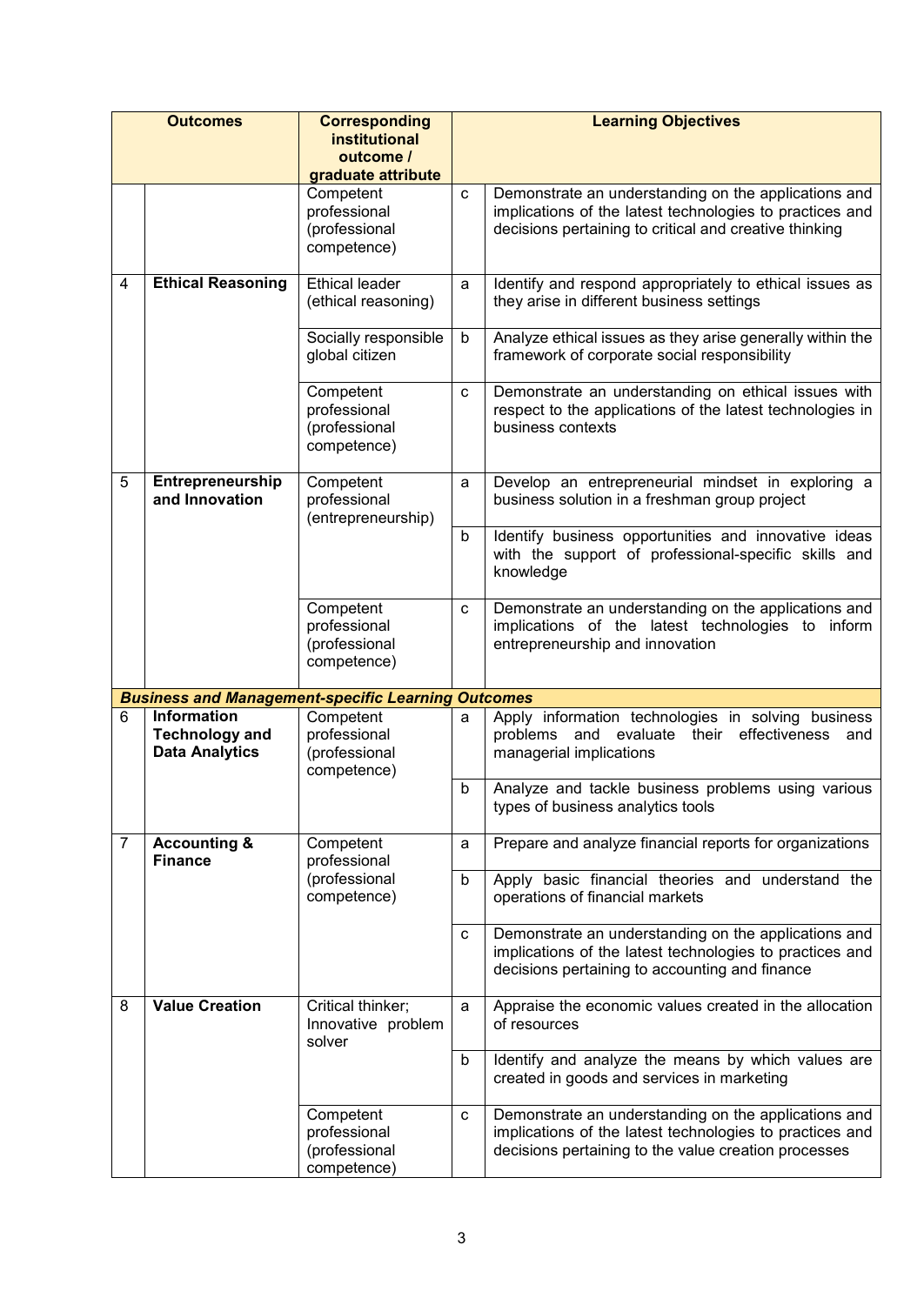|                | <b>Outcomes</b>                                               | <b>Corresponding</b><br><b>institutional</b><br>outcome /<br>graduate attribute |   | <b>Learning Objectives</b>                                                                                                                                                 |
|----------------|---------------------------------------------------------------|---------------------------------------------------------------------------------|---|----------------------------------------------------------------------------------------------------------------------------------------------------------------------------|
|                |                                                               | Competent<br>professional<br>(professional<br>competence)                       | C | Demonstrate an understanding on the applications and<br>implications of the latest technologies to practices and<br>decisions pertaining to critical and creative thinking |
| 4              | <b>Ethical Reasoning</b>                                      | <b>Ethical leader</b><br>(ethical reasoning)                                    | a | Identify and respond appropriately to ethical issues as<br>they arise in different business settings                                                                       |
|                |                                                               | Socially responsible<br>global citizen                                          | b | Analyze ethical issues as they arise generally within the<br>framework of corporate social responsibility                                                                  |
|                |                                                               | Competent<br>professional<br>(professional<br>competence)                       | C | Demonstrate an understanding on ethical issues with<br>respect to the applications of the latest technologies in<br>business contexts                                      |
| 5              | Entrepreneurship<br>and Innovation                            | Competent<br>professional<br>(entrepreneurship)                                 | a | Develop an entrepreneurial mindset in exploring a<br>business solution in a freshman group project                                                                         |
|                |                                                               |                                                                                 | b | Identify business opportunities and innovative ideas<br>with the support of professional-specific skills and<br>knowledge                                                  |
|                |                                                               | Competent<br>professional<br>(professional<br>competence)                       | c | Demonstrate an understanding on the applications and<br>implications of the latest technologies to inform<br>entrepreneurship and innovation                               |
|                |                                                               | <b>Business and Management-specific Learning Outcomes</b>                       |   |                                                                                                                                                                            |
| 6              | Information<br><b>Technology and</b><br><b>Data Analytics</b> | Competent<br>professional<br>(professional<br>competence)                       | a | Apply information technologies in solving business<br>effectiveness<br>problems<br>and evaluate their<br>and<br>managerial implications                                    |
|                |                                                               |                                                                                 | b | Analyze and tackle business problems using various<br>types of business analytics tools                                                                                    |
| $\overline{7}$ | <b>Accounting &amp;</b><br><b>Finance</b>                     | Competent<br>professional                                                       | a | Prepare and analyze financial reports for organizations                                                                                                                    |
|                |                                                               | (professional<br>competence)                                                    | b | Apply basic financial theories and understand the<br>operations of financial markets                                                                                       |
|                |                                                               |                                                                                 | С | Demonstrate an understanding on the applications and<br>implications of the latest technologies to practices and<br>decisions pertaining to accounting and finance         |
| 8              | <b>Value Creation</b>                                         | Critical thinker;<br>Innovative problem<br>solver                               | a | Appraise the economic values created in the allocation<br>of resources                                                                                                     |
|                |                                                               |                                                                                 | b | Identify and analyze the means by which values are<br>created in goods and services in marketing                                                                           |
|                |                                                               | Competent<br>professional<br>(professional<br>competence)                       | С | Demonstrate an understanding on the applications and<br>implications of the latest technologies to practices and<br>decisions pertaining to the value creation processes   |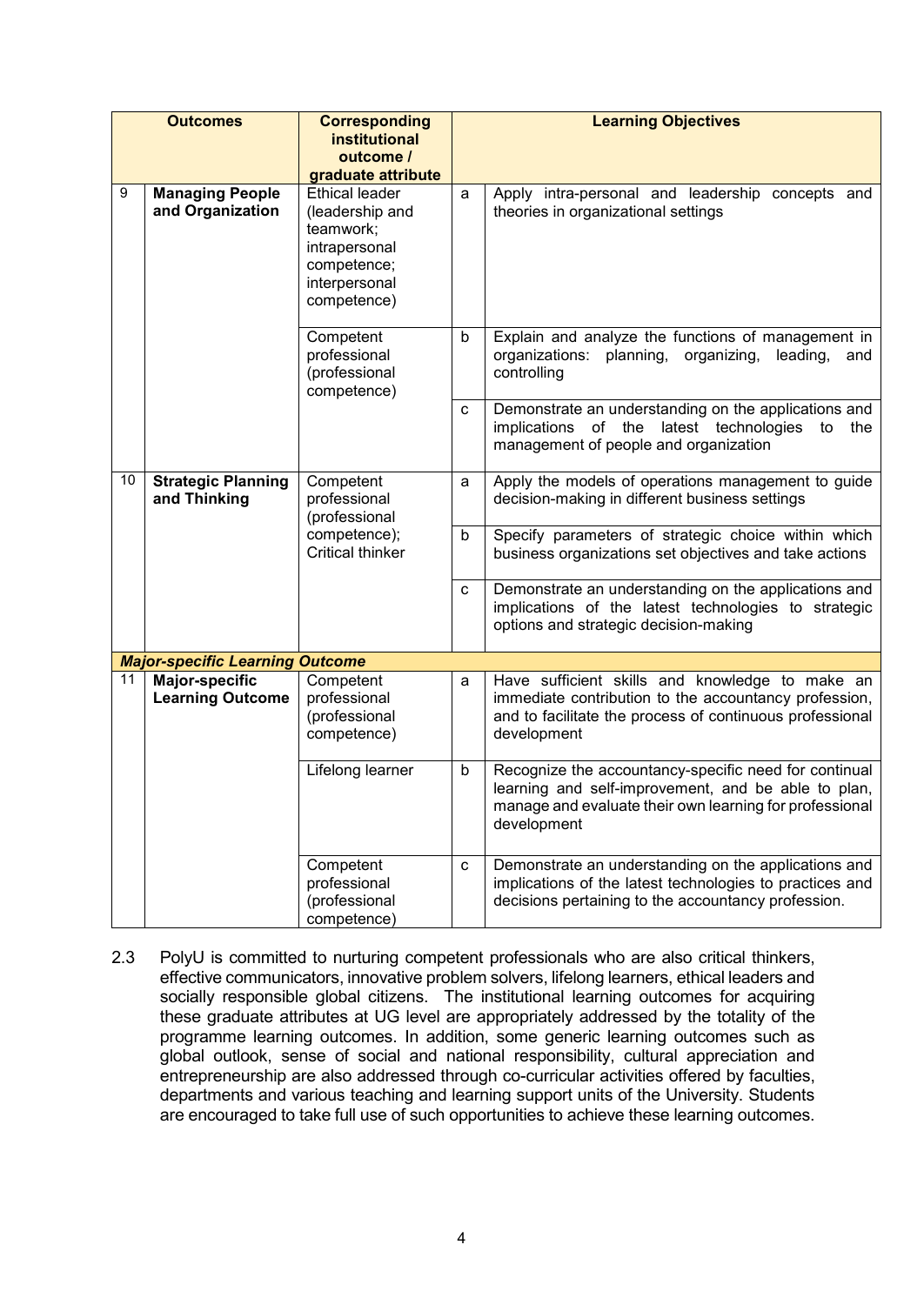| <b>Outcomes</b><br><b>institutional</b> |                                                  | <b>Corresponding</b><br>outcome /                                                                                     |             | <b>Learning Objectives</b>                                                                                                                                                             |
|-----------------------------------------|--------------------------------------------------|-----------------------------------------------------------------------------------------------------------------------|-------------|----------------------------------------------------------------------------------------------------------------------------------------------------------------------------------------|
|                                         |                                                  | graduate attribute                                                                                                    |             |                                                                                                                                                                                        |
| 9                                       | <b>Managing People</b><br>and Organization       | <b>Ethical leader</b><br>(leadership and<br>teamwork;<br>intrapersonal<br>competence;<br>interpersonal<br>competence) | a           | Apply intra-personal and leadership concepts and<br>theories in organizational settings                                                                                                |
|                                         |                                                  | Competent<br>professional<br>(professional<br>competence)                                                             | b           | Explain and analyze the functions of management in<br>organizations: planning, organizing,<br>leading,<br>and<br>controlling                                                           |
|                                         |                                                  |                                                                                                                       | c           | Demonstrate an understanding on the applications and<br>implications of the<br>latest technologies<br>the<br>to<br>management of people and organization                               |
| 10                                      | <b>Strategic Planning</b><br>and Thinking        | Competent<br>professional<br>(professional                                                                            | a           | Apply the models of operations management to guide<br>decision-making in different business settings                                                                                   |
|                                         |                                                  | competence);<br><b>Critical thinker</b>                                                                               | b           | Specify parameters of strategic choice within which<br>business organizations set objectives and take actions                                                                          |
|                                         |                                                  |                                                                                                                       | c           | Demonstrate an understanding on the applications and<br>implications of the latest technologies to strategic<br>options and strategic decision-making                                  |
|                                         | <b>Major-specific Learning Outcome</b>           |                                                                                                                       |             |                                                                                                                                                                                        |
| 11                                      | <b>Major-specific</b><br><b>Learning Outcome</b> | Competent<br>professional<br>(professional<br>competence)                                                             | a           | Have sufficient skills and knowledge to make an<br>immediate contribution to the accountancy profession,<br>and to facilitate the process of continuous professional<br>development    |
|                                         |                                                  | Lifelong learner                                                                                                      | $\mathsf b$ | Recognize the accountancy-specific need for continual<br>learning and self-improvement, and be able to plan,<br>manage and evaluate their own learning for professional<br>development |
|                                         |                                                  | Competent<br>professional<br>(professional<br>competence)                                                             | $\mathbf C$ | Demonstrate an understanding on the applications and<br>implications of the latest technologies to practices and<br>decisions pertaining to the accountancy profession.                |

2.3 PolyU is committed to nurturing competent professionals who are also critical thinkers, effective communicators, innovative problem solvers, lifelong learners, ethical leaders and socially responsible global citizens. The institutional learning outcomes for acquiring these graduate attributes at UG level are appropriately addressed by the totality of the programme learning outcomes. In addition, some generic learning outcomes such as global outlook, sense of social and national responsibility, cultural appreciation and entrepreneurship are also addressed through co-curricular activities offered by faculties, departments and various teaching and learning support units of the University. Students are encouraged to take full use of such opportunities to achieve these learning outcomes.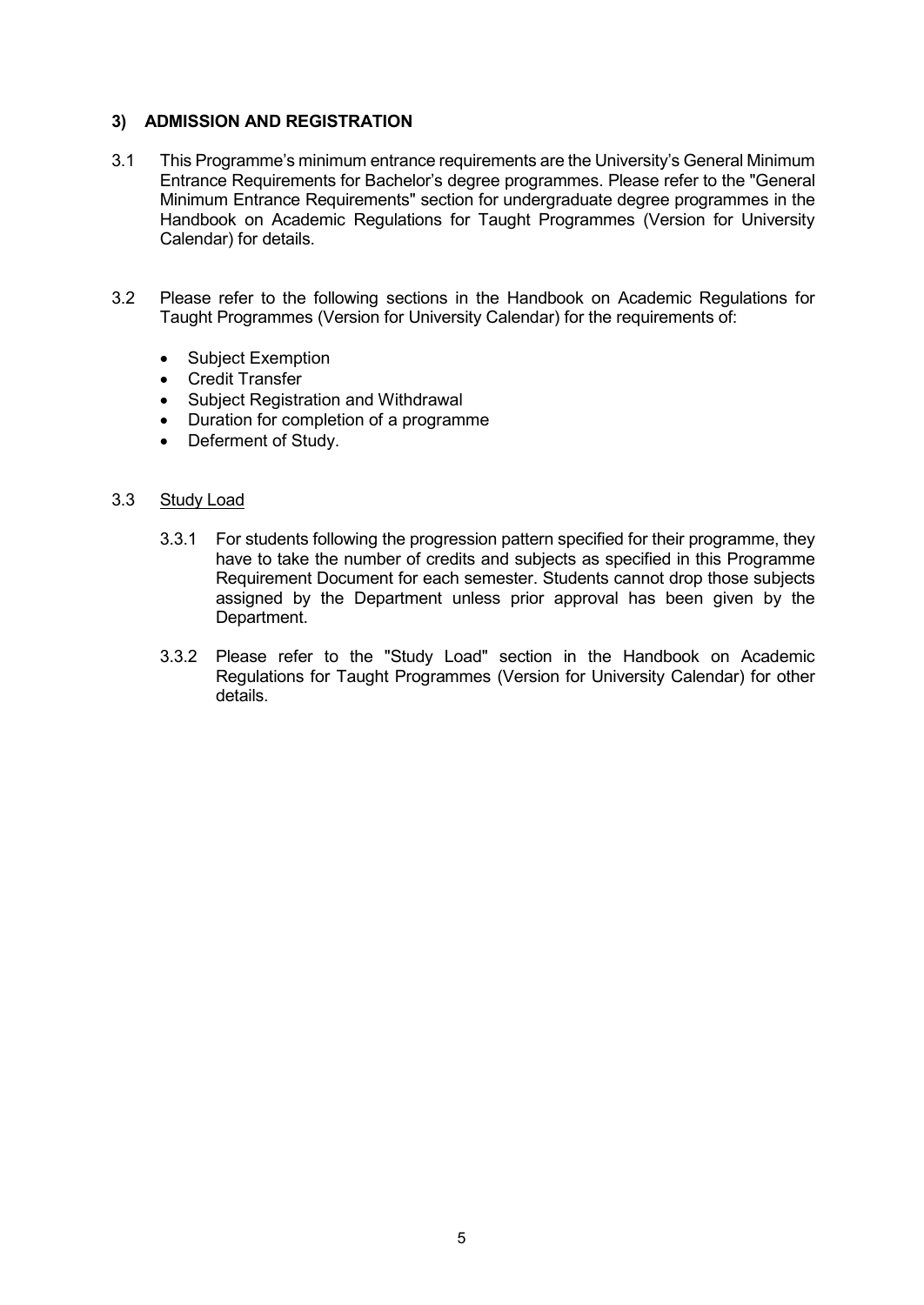## **3) ADMISSION AND REGISTRATION**

- 3.1 This Programme's minimum entrance requirements are the University's General Minimum Entrance Requirements for Bachelor's degree programmes. Please refer to the "General Minimum Entrance Requirements" section for undergraduate degree programmes in the Handbook on Academic Regulations for Taught Programmes (Version for University Calendar) for details.
- 3.2 Please refer to the following sections in the Handbook on Academic Regulations for Taught Programmes (Version for University Calendar) for the requirements of:
	- Subject Exemption
	- Credit Transfer
	- Subject Registration and Withdrawal
	- Duration for completion of a programme
	- Deferment of Study.

#### 3.3 Study Load

- 3.3.1 For students following the progression pattern specified for their programme, they have to take the number of credits and subjects as specified in this Programme Requirement Document for each semester. Students cannot drop those subjects assigned by the Department unless prior approval has been given by the Department.
- 3.3.2 Please refer to the "Study Load" section in the Handbook on Academic Regulations for Taught Programmes (Version for University Calendar) for other details.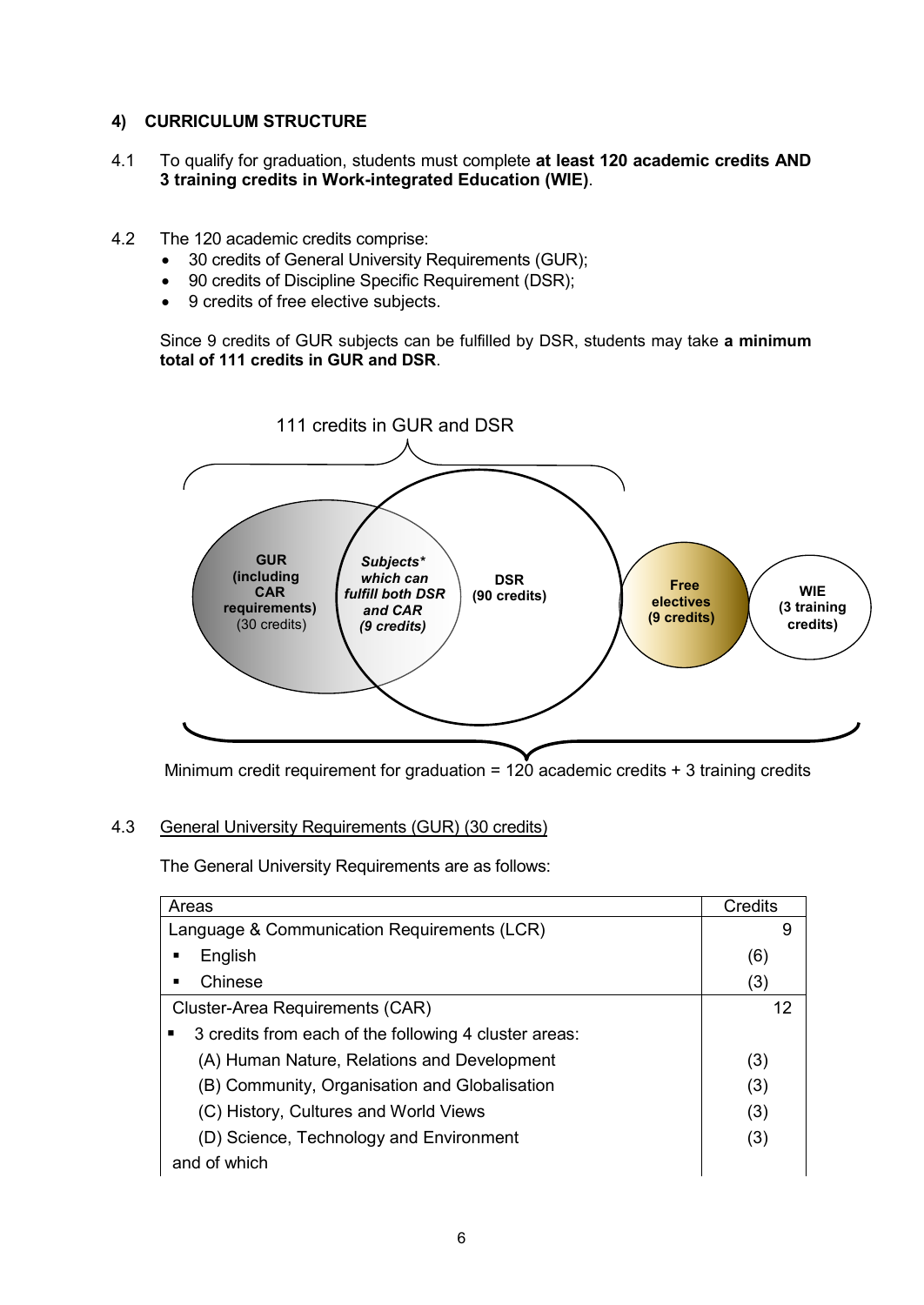## **4) CURRICULUM STRUCTURE**

- 4.1 To qualify for graduation, students must complete **at least 120 academic credits AND 3 training credits in Work-integrated Education (WIE)**.
- 4.2 The 120 academic credits comprise:
	- 30 credits of General University Requirements (GUR);
	- 90 credits of Discipline Specific Requirement (DSR);
	- 9 credits of free elective subjects.

Since 9 credits of GUR subjects can be fulfilled by DSR, students may take **a minimum total of 111 credits in GUR and DSR**.



Minimum credit requirement for graduation =  $120$  academic credits + 3 training credits

## 4.3 General University Requirements (GUR) (30 credits)

The General University Requirements are as follows:

| Areas                                                 | Credits |
|-------------------------------------------------------|---------|
| Language & Communication Requirements (LCR)           | 9       |
| English                                               | (6)     |
| Chinese                                               | (3)     |
| Cluster-Area Requirements (CAR)                       | 12      |
| 3 credits from each of the following 4 cluster areas: |         |
| (A) Human Nature, Relations and Development           | (3)     |
| (B) Community, Organisation and Globalisation         | (3)     |
| (C) History, Cultures and World Views                 | (3)     |
| (D) Science, Technology and Environment               | (3)     |
| and of which                                          |         |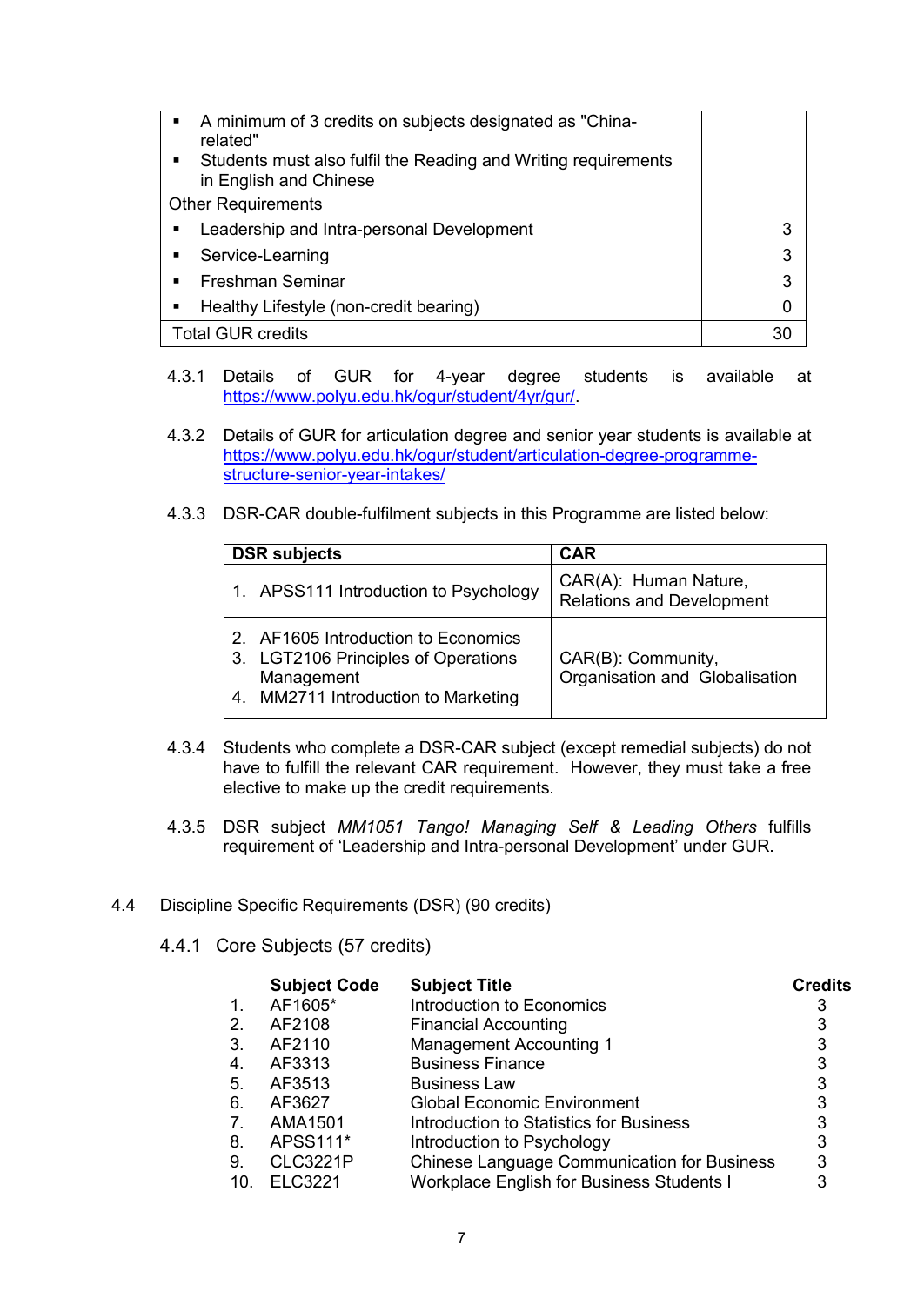| A minimum of 3 credits on subjects designated as "China-<br>٠<br>related"<br>• Students must also fulfil the Reading and Writing requirements<br>in English and Chinese |    |
|-------------------------------------------------------------------------------------------------------------------------------------------------------------------------|----|
| <b>Other Requirements</b>                                                                                                                                               |    |
| Leadership and Intra-personal Development<br>٠                                                                                                                          | 3  |
| Service-Learning<br>$\blacksquare$                                                                                                                                      | 3  |
| Freshman Seminar<br>$\blacksquare$                                                                                                                                      | 3  |
| Healthy Lifestyle (non-credit bearing)<br>٠                                                                                                                             |    |
| <b>Total GUR credits</b>                                                                                                                                                | 30 |

- 4.3.1 Details of GUR for 4-year degree students is available at [https://www.polyu.edu.hk/ogur/student/4yr/gur/.](https://www.polyu.edu.hk/ogur/student/4yr/gur/)
- 4.3.2 Details of GUR for articulation degree and senior year students is available at [https://www.polyu.edu.hk/ogur/student/articulation-degree-programme](https://www.polyu.edu.hk/ogur/student/articulation-degree-programme-structure-senior-year-intakes/)[structure-senior-year-intakes/](https://www.polyu.edu.hk/ogur/student/articulation-degree-programme-structure-senior-year-intakes/)
- 4.3.3 DSR-CAR double-fulfilment subjects in this Programme are listed below:

| <b>DSR</b> subjects                                                                                                             | <b>CAR</b>                                                |
|---------------------------------------------------------------------------------------------------------------------------------|-----------------------------------------------------------|
| 1. APSS111 Introduction to Psychology                                                                                           | CAR(A): Human Nature,<br><b>Relations and Development</b> |
| 2. AF1605 Introduction to Economics<br>3. LGT2106 Principles of Operations<br>Management<br>4. MM2711 Introduction to Marketing | CAR(B): Community,<br>Organisation and Globalisation      |

- 4.3.4 Students who complete a DSR-CAR subject (except remedial subjects) do not have to fulfill the relevant CAR requirement. However, they must take a free elective to make up the credit requirements.
- 4.3.5 DSR subject *MM1051 Tango! Managing Self & Leading Others* fulfills requirement of 'Leadership and Intra-personal Development' under GUR.

## 4.4 Discipline Specific Requirements (DSR) (90 credits)

4.4.1 Core Subjects (57 credits)

| <b>Subject Code</b> |                                                    | <b>Credits</b>       |
|---------------------|----------------------------------------------------|----------------------|
| AF1605*             | Introduction to Economics                          |                      |
| AF2108              | <b>Financial Accounting</b>                        | 3                    |
| AF2110              | <b>Management Accounting 1</b>                     | 3                    |
| AF3313              | <b>Business Finance</b>                            | 3                    |
| AF3513              | <b>Business Law</b>                                | 3                    |
| AF3627              | <b>Global Economic Environment</b>                 | 3                    |
| AMA1501             | Introduction to Statistics for Business            | 3                    |
| APSS111*            | Introduction to Psychology                         | 3                    |
| <b>CLC3221P</b>     | <b>Chinese Language Communication for Business</b> | 3                    |
| <b>ELC3221</b>      | <b>Workplace English for Business Students I</b>   |                      |
|                     |                                                    | <b>Subject Title</b> |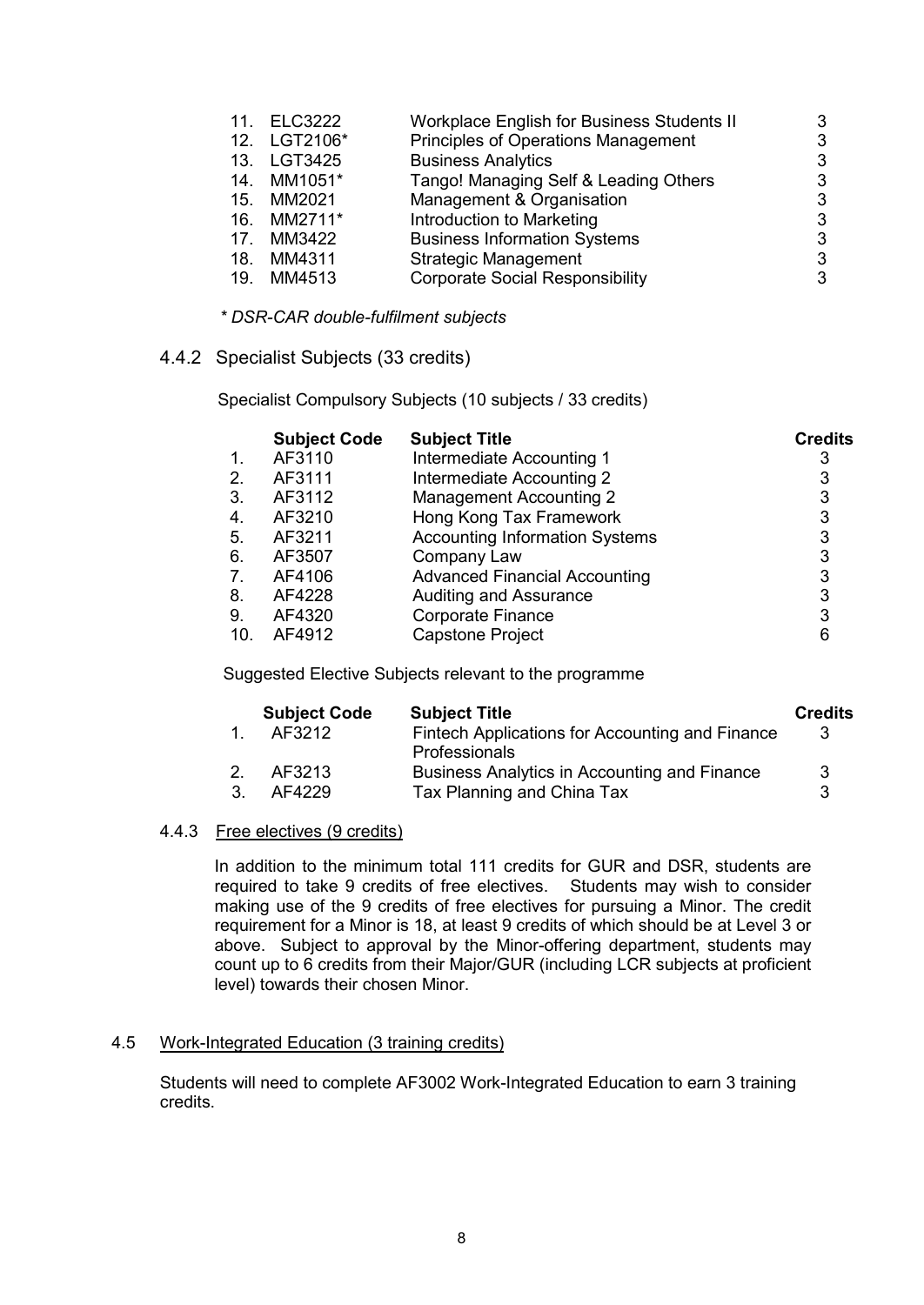| 11. ELC3222  | Workplace English for Business Students II | 3 |
|--------------|--------------------------------------------|---|
| 12. LGT2106* | <b>Principles of Operations Management</b> | 3 |
| 13. LGT3425  | <b>Business Analytics</b>                  | 3 |
| 14. MM1051*  | Tango! Managing Self & Leading Others      | 3 |
| 15. MM2021   | Management & Organisation                  | 3 |
| 16. MM2711*  | Introduction to Marketing                  | 3 |
| 17. MM3422   | <b>Business Information Systems</b>        | 3 |
| 18. MM4311   | <b>Strategic Management</b>                | 3 |
| 19. MM4513   | <b>Corporate Social Responsibility</b>     | 3 |
|              |                                            |   |

- *\* DSR-CAR double-fulfilment subjects*
- 4.4.2 Specialist Subjects (33 credits)

Specialist Compulsory Subjects (10 subjects / 33 credits)

|     | <b>Subject Code</b> | <b>Subject Title</b>                  | <b>Credits</b> |
|-----|---------------------|---------------------------------------|----------------|
| 1.  | AF3110              | Intermediate Accounting 1             | 3              |
| 2.  | AF3111              | Intermediate Accounting 2             | 3              |
| 3.  | AF3112              | <b>Management Accounting 2</b>        | 3              |
| 4.  | AF3210              | Hong Kong Tax Framework               | 3              |
| 5.  | AF3211              | <b>Accounting Information Systems</b> | 3              |
| 6.  | AF3507              | Company Law                           | 3              |
| 7.  | AF4106              | <b>Advanced Financial Accounting</b>  | 3              |
| 8.  | AF4228              | <b>Auditing and Assurance</b>         | 3              |
| 9.  | AF4320              | <b>Corporate Finance</b>              | 3              |
| 10. | AF4912              | <b>Capstone Project</b>               | 6              |
|     |                     |                                       |                |

Suggested Elective Subjects relevant to the programme

|    | <b>Subject Code</b> | <b>Subject Title</b>                            | <b>Credits</b> |
|----|---------------------|-------------------------------------------------|----------------|
|    | AF3212              | Fintech Applications for Accounting and Finance | 3              |
|    |                     | <b>Professionals</b>                            |                |
| 2. | AF3213              | Business Analytics in Accounting and Finance    | 3              |
| 3. | AF4229              | Tax Planning and China Tax                      |                |
|    |                     |                                                 |                |

#### 4.4.3 Free electives (9 credits)

In addition to the minimum total 111 credits for GUR and DSR, students are required to take 9 credits of free electives. Students may wish to consider making use of the 9 credits of free electives for pursuing a Minor. The credit requirement for a Minor is 18, at least 9 credits of which should be at Level 3 or above. Subject to approval by the Minor-offering department, students may count up to 6 credits from their Major/GUR (including LCR subjects at proficient level) towards their chosen Minor.

#### 4.5 Work-Integrated Education (3 training credits)

Students will need to complete AF3002 Work-Integrated Education to earn 3 training credits.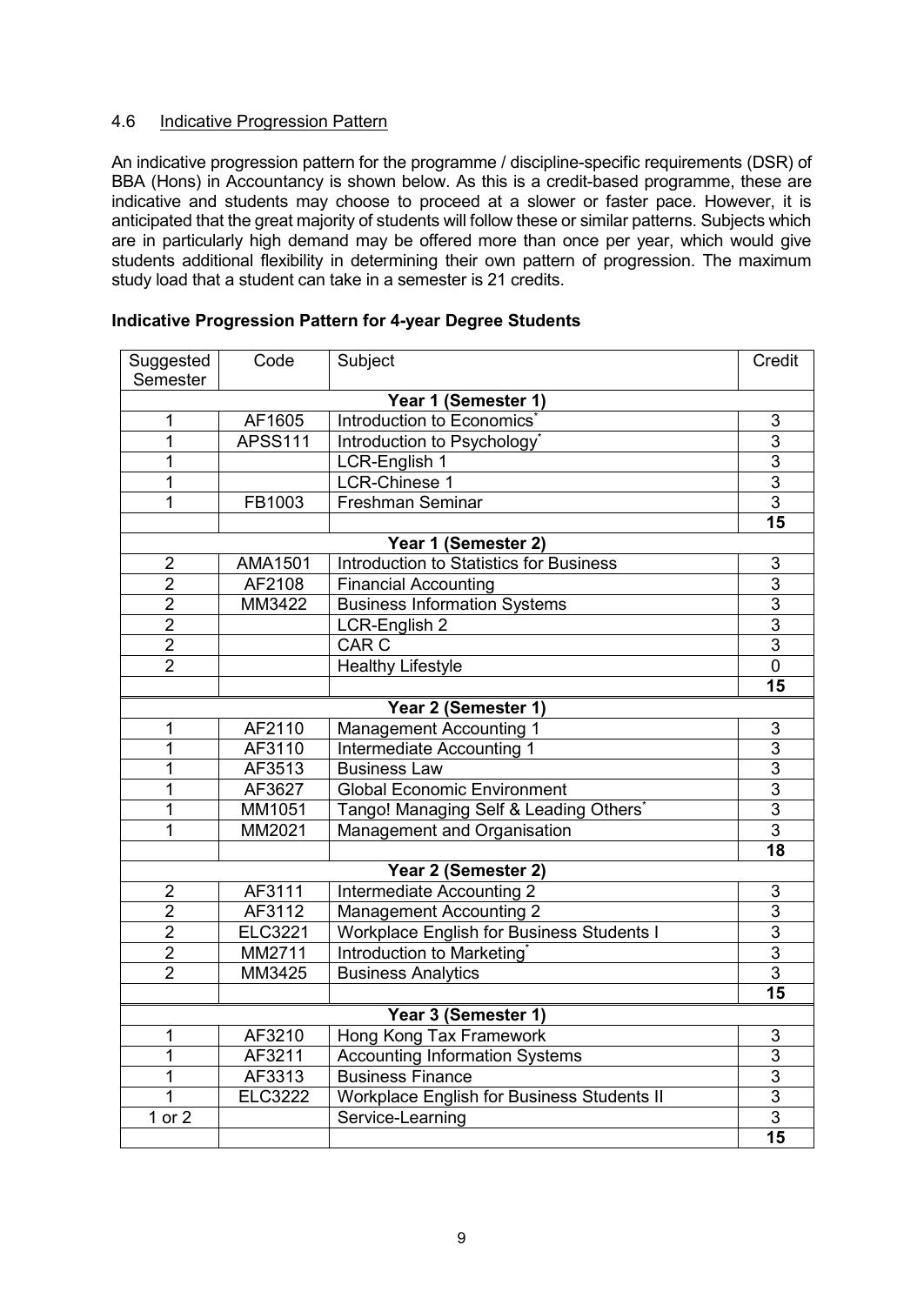## 4.6 Indicative Progression Pattern

An indicative progression pattern for the programme / discipline-specific requirements (DSR) of BBA (Hons) in Accountancy is shown below. As this is a credit-based programme, these are indicative and students may choose to proceed at a slower or faster pace. However, it is anticipated that the great majority of students will follow these or similar patterns. Subjects which are in particularly high demand may be offered more than once per year, which would give students additional flexibility in determining their own pattern of progression. The maximum study load that a student can take in a semester is 21 credits.

| Suggested<br>Semester                                                             | Code                | Subject                                            | Credit                    |  |  |
|-----------------------------------------------------------------------------------|---------------------|----------------------------------------------------|---------------------------|--|--|
|                                                                                   |                     |                                                    |                           |  |  |
| Year 1 (Semester 1)<br>Introduction to Economics <sup>*</sup><br>1<br>AF1605<br>3 |                     |                                                    |                           |  |  |
| $\overline{1}$                                                                    | <b>APSS111</b>      | Introduction to Psychology*                        | $\overline{3}$            |  |  |
| 1                                                                                 |                     | LCR-English 1                                      | $\overline{3}$            |  |  |
| 1                                                                                 |                     | LCR-Chinese 1                                      | $\overline{3}$            |  |  |
| 1                                                                                 | FB1003              | Freshman Seminar                                   | $\overline{3}$            |  |  |
|                                                                                   |                     |                                                    | 15                        |  |  |
|                                                                                   |                     | Year 1 (Semester 2)                                |                           |  |  |
| $\overline{2}$                                                                    | AMA1501             | <b>Introduction to Statistics for Business</b>     | $\mathbf{3}$              |  |  |
| $\overline{2}$                                                                    | AF2108              | <b>Financial Accounting</b>                        | $\overline{3}$            |  |  |
| $\overline{2}$                                                                    | MM3422              | <b>Business Information Systems</b>                | $\overline{3}$            |  |  |
| $\overline{2}$                                                                    |                     | LCR-English 2                                      | $\overline{3}$            |  |  |
| $\overline{2}$                                                                    |                     | CAR <sub>C</sub>                                   | 3                         |  |  |
| $\overline{2}$                                                                    |                     | <b>Healthy Lifestyle</b>                           | $\overline{0}$            |  |  |
|                                                                                   |                     |                                                    | 15                        |  |  |
|                                                                                   | Year 2 (Semester 1) |                                                    |                           |  |  |
| 1                                                                                 | AF2110              | <b>Management Accounting 1</b>                     | $\ensuremath{\mathsf{3}}$ |  |  |
| 1                                                                                 | AF3110              | Intermediate Accounting 1                          | $\sqrt{3}$                |  |  |
| 1                                                                                 | AF3513              | <b>Business Law</b>                                | $\overline{3}$            |  |  |
| 1                                                                                 | AF3627              | <b>Global Economic Environment</b>                 | $\overline{3}$            |  |  |
| 1                                                                                 | MM1051              | Tango! Managing Self & Leading Others <sup>*</sup> | $\overline{3}$            |  |  |
| 1                                                                                 | MM2021              | Management and Organisation                        | $\overline{3}$            |  |  |
|                                                                                   |                     |                                                    | 18                        |  |  |
| Year 2 (Semester 2)                                                               |                     |                                                    |                           |  |  |
| $\boldsymbol{2}$                                                                  | AF3111              | Intermediate Accounting 2                          | $\overline{3}$            |  |  |
| $\overline{2}$                                                                    | AF3112              | <b>Management Accounting 2</b>                     | $\overline{3}$            |  |  |
| $\overline{2}$                                                                    | <b>ELC3221</b>      | <b>Workplace English for Business Students I</b>   | $\overline{3}$            |  |  |
| $\overline{2}$                                                                    | MM2711              | Introduction to Marketing*                         | $\overline{3}$            |  |  |
| $\overline{2}$                                                                    | MM3425              | <b>Business Analytics</b>                          | $\mathsf 3$               |  |  |
|                                                                                   |                     |                                                    | $\overline{15}$           |  |  |
|                                                                                   |                     | Year 3 (Semester 1)                                |                           |  |  |
| 1                                                                                 | AF3210              | Hong Kong Tax Framework                            | $\ensuremath{\mathsf{3}}$ |  |  |
| 1                                                                                 | AF3211              | <b>Accounting Information Systems</b>              | $\overline{3}$            |  |  |
| $\mathbf{1}$                                                                      | AF3313              | <b>Business Finance</b>                            | $\overline{3}$            |  |  |
| $\overline{1}$                                                                    | <b>ELC3222</b>      | <b>Workplace English for Business Students II</b>  | $\overline{3}$            |  |  |
| 1 or $2$                                                                          |                     | Service-Learning                                   | $\overline{3}$            |  |  |
|                                                                                   |                     |                                                    | $\overline{15}$           |  |  |

#### **Indicative Progression Pattern for 4-year Degree Students**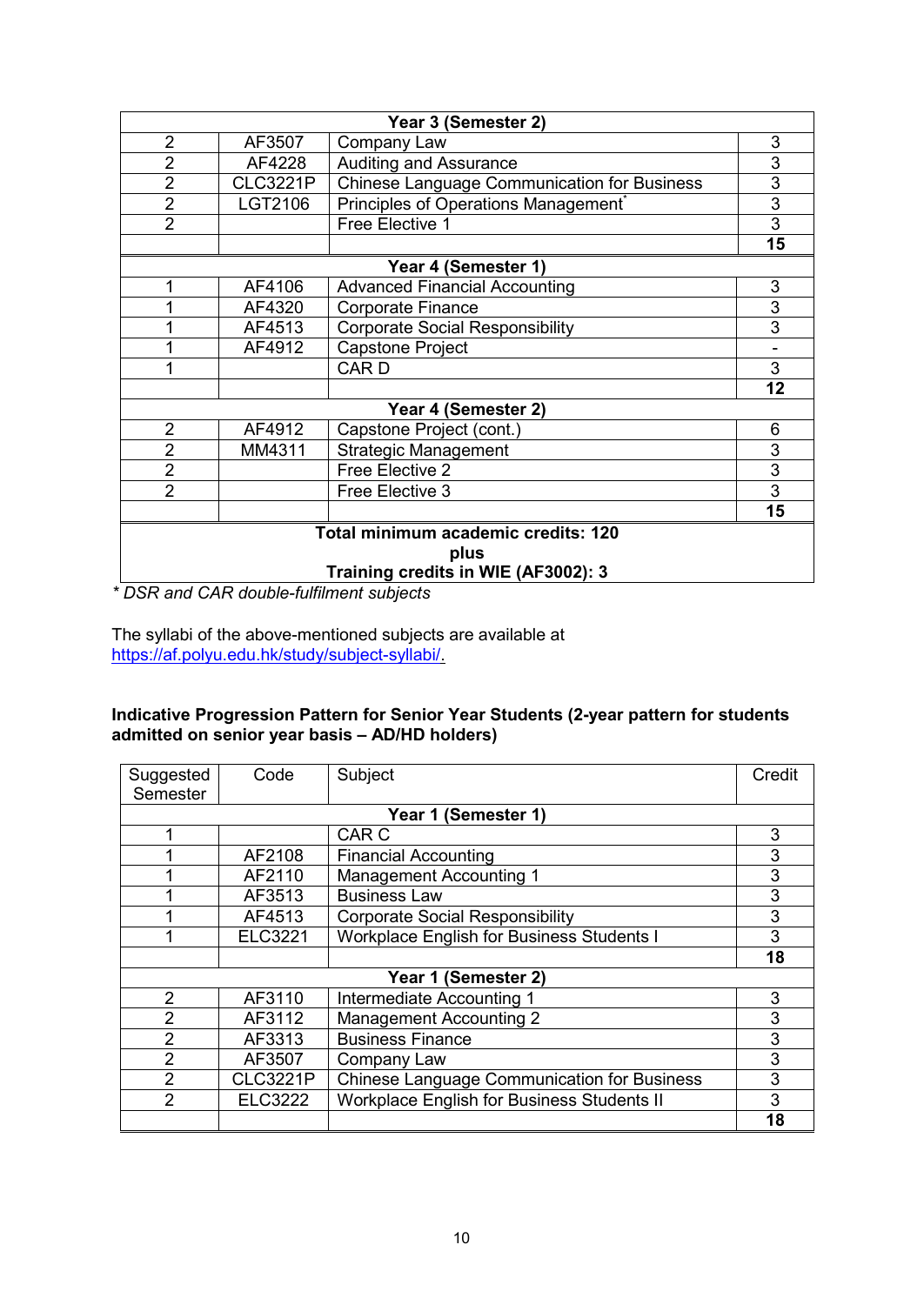| Year 3 (Semester 2)                 |                 |                                                    |                |
|-------------------------------------|-----------------|----------------------------------------------------|----------------|
| $\overline{2}$                      | AF3507          | Company Law                                        | 3              |
| $\overline{2}$                      | AF4228          | <b>Auditing and Assurance</b>                      | 3              |
| $\overline{2}$                      | <b>CLC3221P</b> | <b>Chinese Language Communication for Business</b> | 3              |
| $\overline{2}$                      | LGT2106         | Principles of Operations Management*               | $\overline{3}$ |
| $\overline{2}$                      |                 | Free Elective 1                                    | $\overline{3}$ |
|                                     |                 |                                                    | 15             |
| Year 4 (Semester 1)                 |                 |                                                    |                |
|                                     | AF4106          | <b>Advanced Financial Accounting</b>               | 3              |
|                                     | AF4320          | <b>Corporate Finance</b>                           | 3              |
|                                     | AF4513          | <b>Corporate Social Responsibility</b>             | 3              |
|                                     | AF4912          | Capstone Project                                   |                |
|                                     |                 | <b>CARD</b>                                        | 3              |
|                                     |                 |                                                    | 12             |
| Year 4 (Semester 2)                 |                 |                                                    |                |
| $\overline{2}$                      | AF4912          | Capstone Project (cont.)                           | 6              |
| $\overline{2}$                      | MM4311          | <b>Strategic Management</b>                        | 3              |
| $\overline{2}$                      |                 | Free Elective 2                                    | $\overline{3}$ |
| $\overline{2}$                      |                 | Free Elective 3                                    | 3              |
|                                     |                 |                                                    | 15             |
| Total minimum academic credits: 120 |                 |                                                    |                |
| plus                                |                 |                                                    |                |
| Training credits in WIE (AF3002): 3 |                 |                                                    |                |

*\* DSR and CAR double-fulfilment subjects*

The syllabi of the above-mentioned subjects are available at [https://af.polyu.edu.hk/study/subject-syllabi/.](https://af.polyu.edu.hk/study/subject-syllabi/)

## **Indicative Progression Pattern for Senior Year Students (2-year pattern for students admitted on senior year basis – AD/HD holders)**

| Suggested           | Code            | Subject                                            | Credit |  |
|---------------------|-----------------|----------------------------------------------------|--------|--|
| Semester            |                 |                                                    |        |  |
| Year 1 (Semester 1) |                 |                                                    |        |  |
|                     |                 | CAR C                                              | 3      |  |
|                     | AF2108          | <b>Financial Accounting</b>                        | 3      |  |
|                     | AF2110          | <b>Management Accounting 1</b>                     | 3      |  |
|                     | AF3513          | <b>Business Law</b>                                | 3      |  |
|                     | AF4513          | <b>Corporate Social Responsibility</b>             | 3      |  |
|                     | <b>ELC3221</b>  | <b>Workplace English for Business Students I</b>   | 3      |  |
|                     |                 |                                                    | 18     |  |
| Year 1 (Semester 2) |                 |                                                    |        |  |
| 2                   | AF3110          | Intermediate Accounting 1                          | 3      |  |
| $\overline{2}$      | AF3112          | <b>Management Accounting 2</b>                     | 3      |  |
| $\overline{2}$      | AF3313          | <b>Business Finance</b>                            | 3      |  |
| $\overline{2}$      | AF3507          | Company Law                                        | 3      |  |
| $\overline{2}$      | <b>CLC3221P</b> | <b>Chinese Language Communication for Business</b> | 3      |  |
| $\overline{2}$      | <b>ELC3222</b>  | <b>Workplace English for Business Students II</b>  | 3      |  |
|                     |                 |                                                    | 18     |  |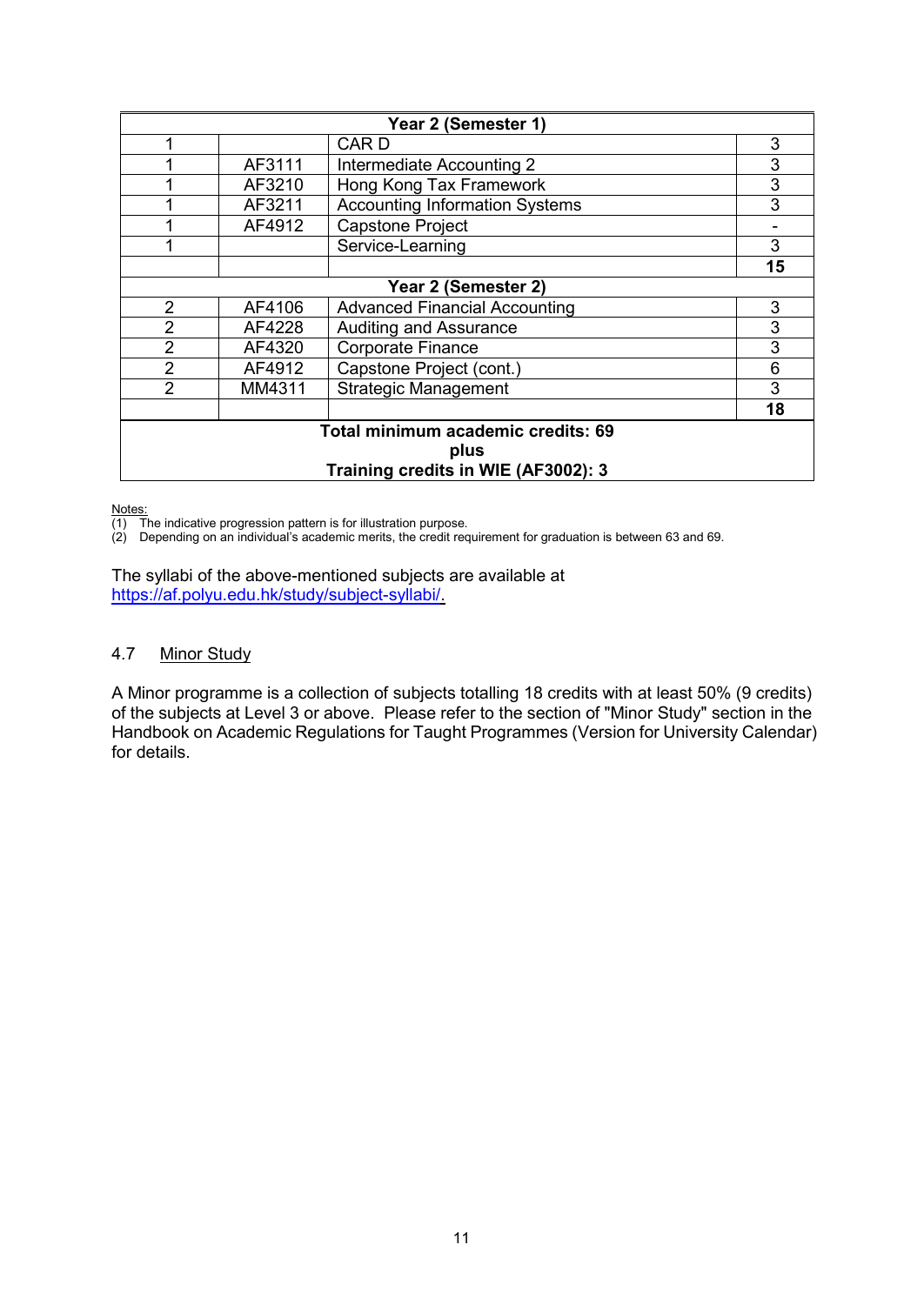| Year 2 (Semester 1)                 |        |                                       |    |
|-------------------------------------|--------|---------------------------------------|----|
|                                     |        | CAR D                                 | 3  |
|                                     | AF3111 | Intermediate Accounting 2             | 3  |
|                                     | AF3210 | Hong Kong Tax Framework               | 3  |
|                                     | AF3211 | <b>Accounting Information Systems</b> | 3  |
|                                     | AF4912 | <b>Capstone Project</b>               |    |
|                                     |        | Service-Learning                      | 3  |
|                                     |        |                                       | 15 |
| Year 2 (Semester 2)                 |        |                                       |    |
| $\overline{2}$                      | AF4106 | <b>Advanced Financial Accounting</b>  | 3  |
| $\overline{2}$                      | AF4228 | <b>Auditing and Assurance</b>         | 3  |
| $\overline{2}$                      | AF4320 | <b>Corporate Finance</b>              | 3  |
| 2                                   | AF4912 | Capstone Project (cont.)              | 6  |
| 2                                   | MM4311 | <b>Strategic Management</b>           | 3  |
|                                     |        |                                       | 18 |
| Total minimum academic credits: 69  |        |                                       |    |
| plus                                |        |                                       |    |
| Training credits in WIE (AF3002): 3 |        |                                       |    |

Notes:

(1) The indicative progression pattern is for illustration purpose.

(2) Depending on an individual's academic merits, the credit requirement for graduation is between 63 and 69.

The syllabi of the above-mentioned subjects are available at [https://af.polyu.edu.hk/study/subject-syllabi/.](https://af.polyu.edu.hk/study/subject-syllabi/)

## 4.7 Minor Study

A Minor programme is a collection of subjects totalling 18 credits with at least 50% (9 credits) of the subjects at Level 3 or above. Please refer to the section of "Minor Study" section in the Handbook on Academic Regulations for Taught Programmes (Version for University Calendar) for details.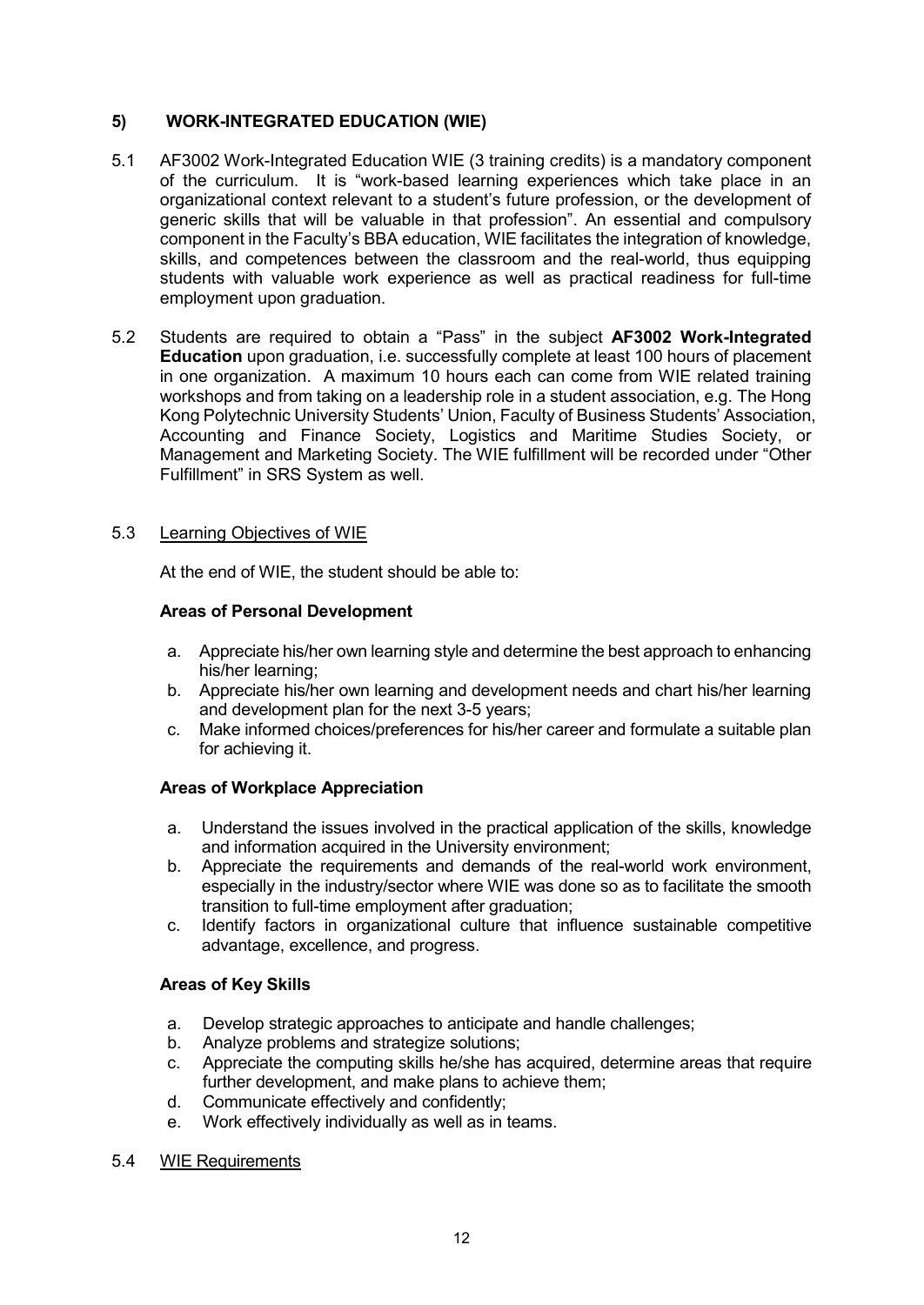## **5) WORK-INTEGRATED EDUCATION (WIE)**

- 5.1 AF3002 Work-Integrated Education WIE (3 training credits) is a mandatory component of the curriculum. It is "work-based learning experiences which take place in an organizational context relevant to a student's future profession, or the development of generic skills that will be valuable in that profession". An essential and compulsory component in the Faculty's BBA education, WIE facilitates the integration of knowledge, skills, and competences between the classroom and the real-world, thus equipping students with valuable work experience as well as practical readiness for full-time employment upon graduation.
- 5.2 Students are required to obtain a "Pass" in the subject **AF3002 Work-Integrated Education** upon graduation, i.e. successfully complete at least 100 hours of placement in one organization. A maximum 10 hours each can come from WIE related training workshops and from taking on a leadership role in a student association, e.g. The Hong Kong Polytechnic University Students' Union, Faculty of Business Students' Association, Accounting and Finance Society, Logistics and Maritime Studies Society, or Management and Marketing Society. The WIE fulfillment will be recorded under "Other Fulfillment" in SRS System as well.

## 5.3 Learning Objectives of WIE

At the end of WIE, the student should be able to:

## **Areas of Personal Development**

- a. Appreciate his/her own learning style and determine the best approach to enhancing his/her learning;
- b. Appreciate his/her own learning and development needs and chart his/her learning and development plan for the next 3-5 years;
- c. Make informed choices/preferences for his/her career and formulate a suitable plan for achieving it.

## **Areas of Workplace Appreciation**

- a. Understand the issues involved in the practical application of the skills, knowledge and information acquired in the University environment;
- b. Appreciate the requirements and demands of the real-world work environment, especially in the industry/sector where WIE was done so as to facilitate the smooth transition to full-time employment after graduation;
- c. Identify factors in organizational culture that influence sustainable competitive advantage, excellence, and progress.

## **Areas of Key Skills**

- a. Develop strategic approaches to anticipate and handle challenges;
- b. Analyze problems and strategize solutions;
- c. Appreciate the computing skills he/she has acquired, determine areas that require further development, and make plans to achieve them;
- d. Communicate effectively and confidently;
- e. Work effectively individually as well as in teams.
- 5.4 WIE Requirements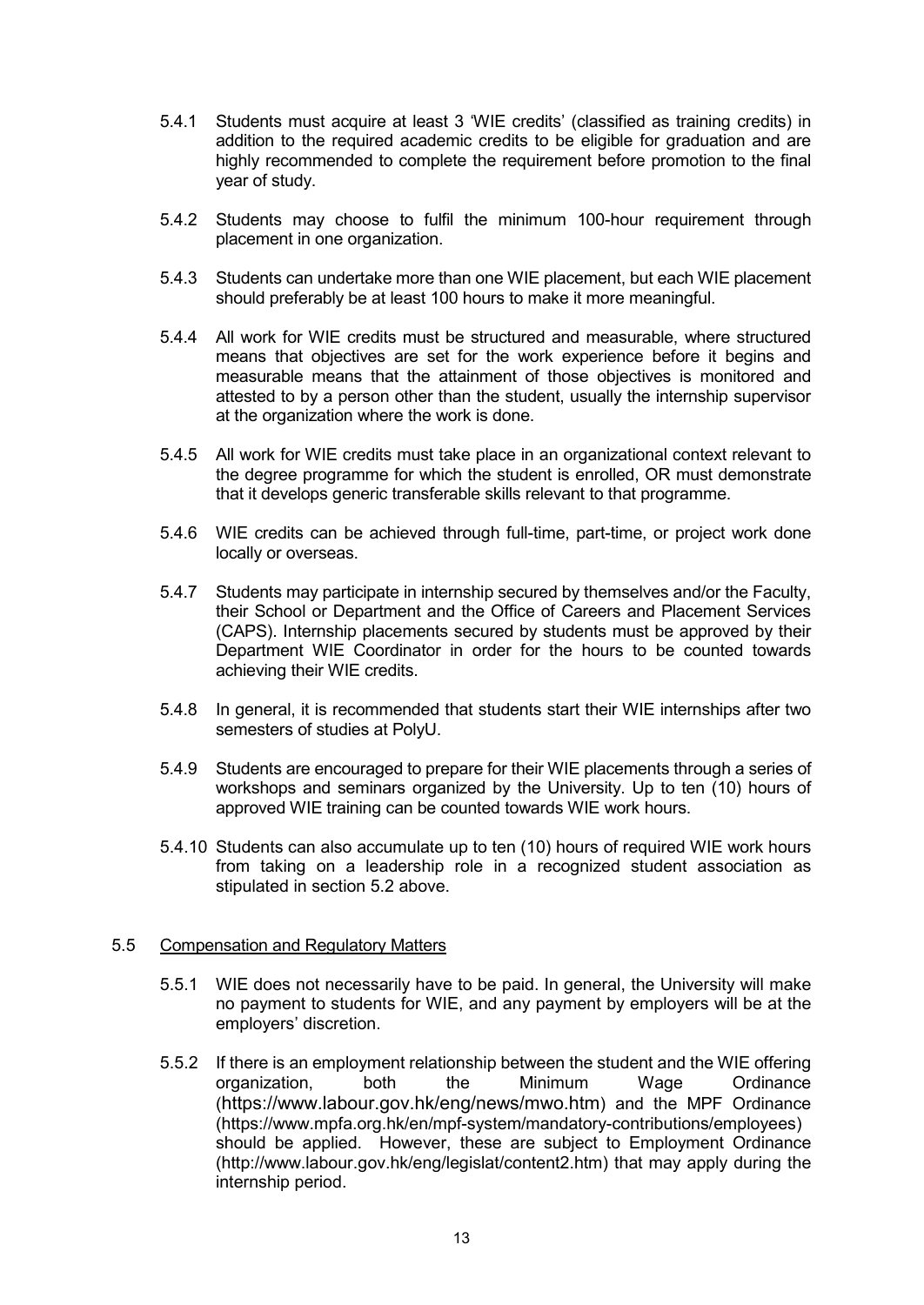- 5.4.1 Students must acquire at least 3 'WIE credits' (classified as training credits) in addition to the required academic credits to be eligible for graduation and are highly recommended to complete the requirement before promotion to the final year of study.
- 5.4.2 Students may choose to fulfil the minimum 100-hour requirement through placement in one organization.
- 5.4.3 Students can undertake more than one WIE placement, but each WIE placement should preferably be at least 100 hours to make it more meaningful.
- 5.4.4 All work for WIE credits must be structured and measurable, where structured means that objectives are set for the work experience before it begins and measurable means that the attainment of those objectives is monitored and attested to by a person other than the student, usually the internship supervisor at the organization where the work is done.
- 5.4.5 All work for WIE credits must take place in an organizational context relevant to the degree programme for which the student is enrolled, OR must demonstrate that it develops generic transferable skills relevant to that programme.
- 5.4.6 WIE credits can be achieved through full-time, part-time, or project work done locally or overseas.
- 5.4.7 Students may participate in internship secured by themselves and/or the Faculty, their School or Department and the Office of Careers and Placement Services (CAPS). Internship placements secured by students must be approved by their Department WIE Coordinator in order for the hours to be counted towards achieving their WIE credits.
- 5.4.8 In general, it is recommended that students start their WIE internships after two semesters of studies at PolyU.
- 5.4.9 Students are encouraged to prepare for their WIE placements through a series of workshops and seminars organized by the University. Up to ten (10) hours of approved WIE training can be counted towards WIE work hours.
- 5.4.10 Students can also accumulate up to ten (10) hours of required WIE work hours from taking on a leadership role in a recognized student association as stipulated in section 5.2 above.

## 5.5 Compensation and Regulatory Matters

- 5.5.1 WIE does not necessarily have to be paid. In general, the University will make no payment to students for WIE, and any payment by employers will be at the employers' discretion.
- 5.5.2 If there is an employment relationship between the student and the WIE offering organization, both the Minimum Wage Ordinance [\(https://www.labour.gov.hk/eng/news/mwo.htm\)](https://www.labour.gov.hk/eng/news/mwo.htm) and the MPF Ordinance (https://www.mpfa.org.hk/en/mpf-system/mandatory-contributions/employees) should be applied. However, these are subject to Employment Ordinance (http://www.labour.gov.hk/eng/legislat/content2.htm) that may apply during the internship period.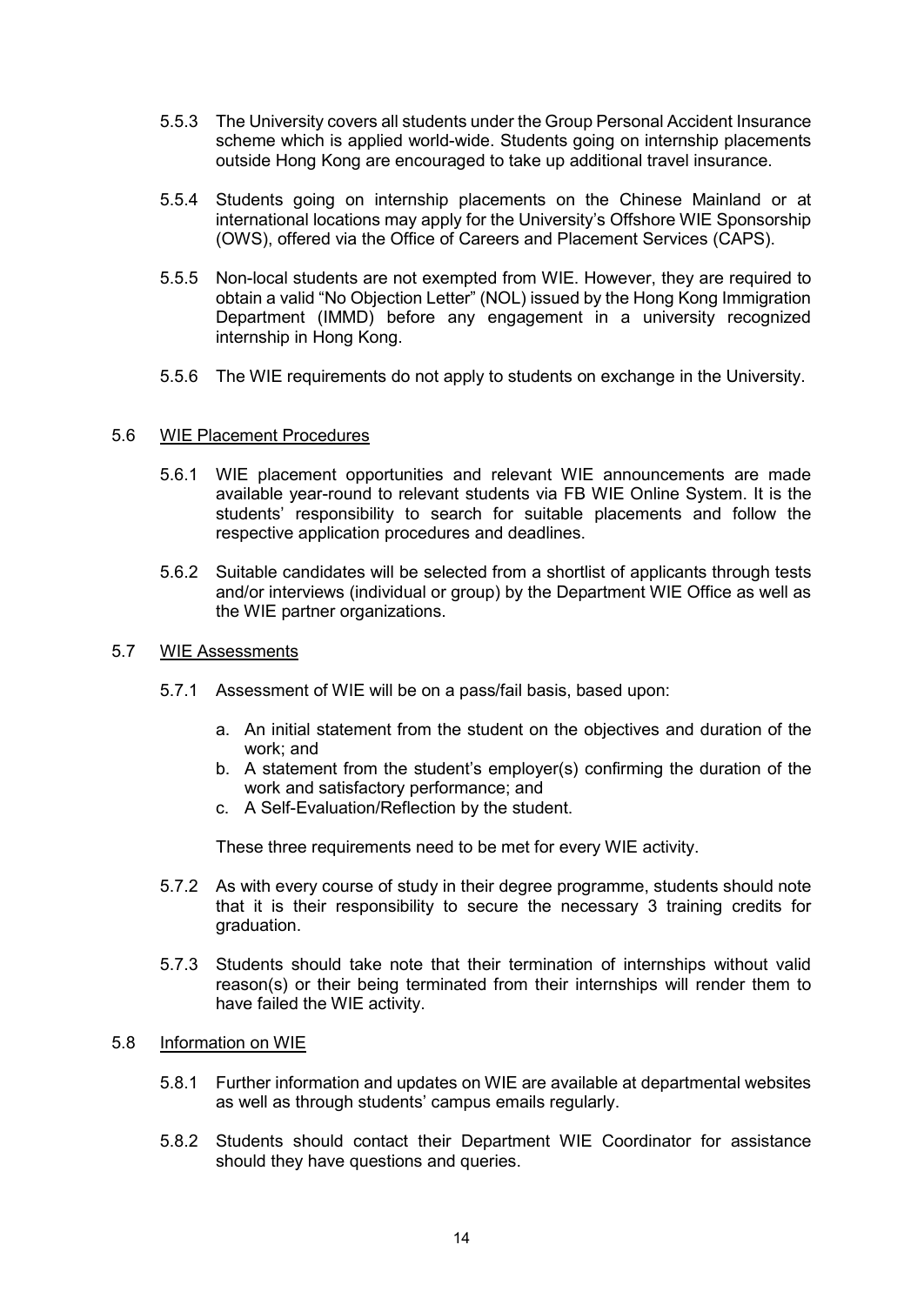- 5.5.3 The University covers all students under the Group Personal Accident Insurance scheme which is applied world-wide. Students going on internship placements outside Hong Kong are encouraged to take up additional travel insurance.
- 5.5.4 Students going on internship placements on the Chinese Mainland or at international locations may apply for the University's Offshore WIE Sponsorship (OWS), offered via the Office of Careers and Placement Services (CAPS).
- 5.5.5 Non-local students are not exempted from WIE. However, they are required to obtain a valid "No Objection Letter" (NOL) issued by the Hong Kong Immigration Department (IMMD) before any engagement in a university recognized internship in Hong Kong.
- 5.5.6 The WIE requirements do not apply to students on exchange in the University.

#### 5.6 WIE Placement Procedures

- 5.6.1 WIE placement opportunities and relevant WIE announcements are made available year-round to relevant students via FB WIE Online System. It is the students' responsibility to search for suitable placements and follow the respective application procedures and deadlines.
- 5.6.2 Suitable candidates will be selected from a shortlist of applicants through tests and/or interviews (individual or group) by the Department WIE Office as well as the WIE partner organizations.
- 5.7 WIE Assessments
	- 5.7.1 Assessment of WIE will be on a pass/fail basis, based upon:
		- a. An initial statement from the student on the objectives and duration of the work; and
		- b. A statement from the student's employer(s) confirming the duration of the work and satisfactory performance; and
		- c. A Self-Evaluation/Reflection by the student.

These three requirements need to be met for every WIE activity.

- 5.7.2 As with every course of study in their degree programme, students should note that it is their responsibility to secure the necessary 3 training credits for graduation.
- 5.7.3 Students should take note that their termination of internships without valid reason(s) or their being terminated from their internships will render them to have failed the WIE activity.
- 5.8 Information on WIE
	- 5.8.1 Further information and updates on WIE are available at departmental websites as well as through students' campus emails regularly.
	- 5.8.2 Students should contact their Department WIE Coordinator for assistance should they have questions and queries.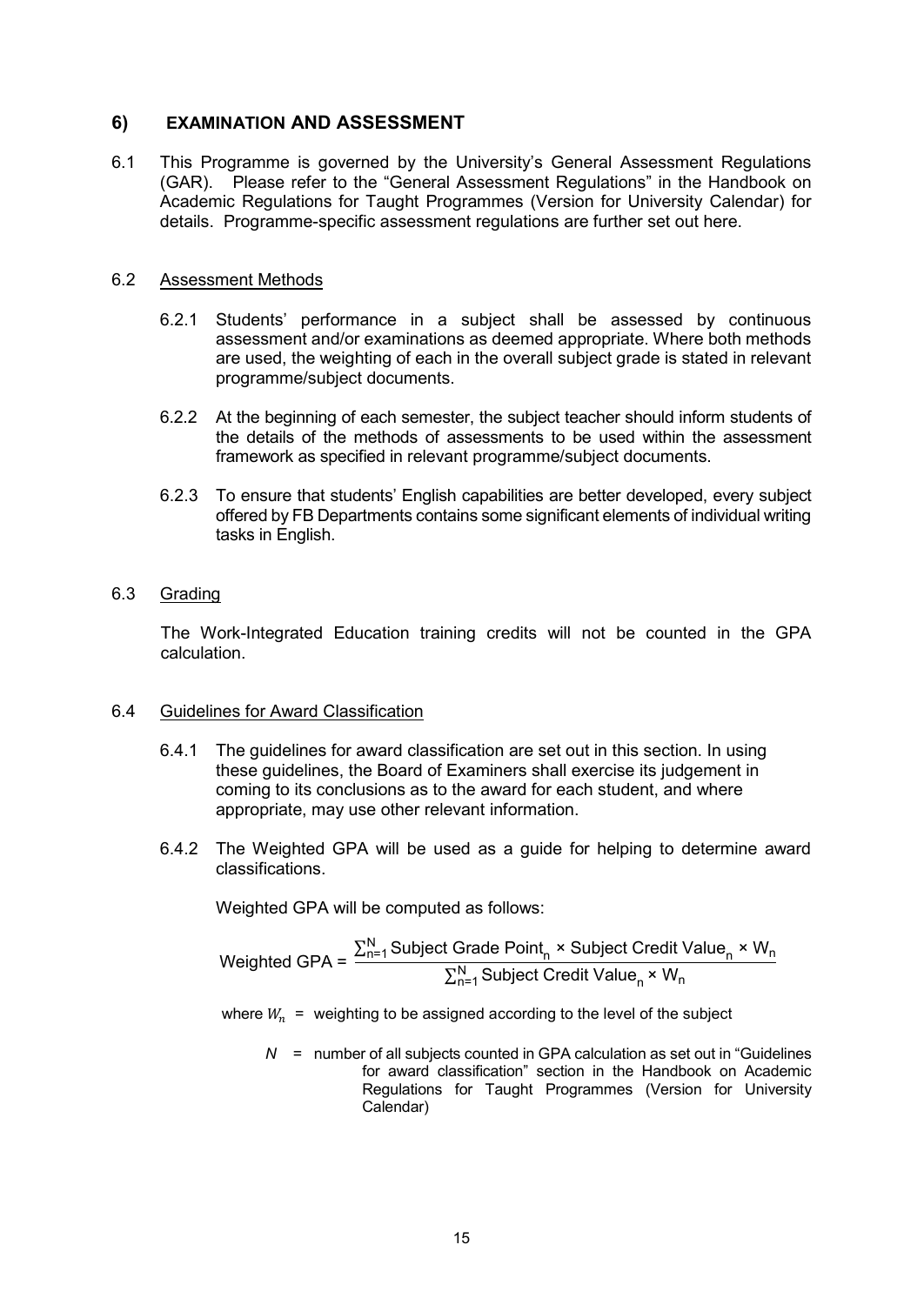## **6) EXAMINATION AND ASSESSMENT**

6.1 This Programme is governed by the University's General Assessment Regulations (GAR). Please refer to the "General Assessment Regulations" in the Handbook on Academic Regulations for Taught Programmes (Version for University Calendar) for details. Programme-specific assessment regulations are further set out here.

#### 6.2 Assessment Methods

- 6.2.1 Students' performance in a subject shall be assessed by continuous assessment and/or examinations as deemed appropriate. Where both methods are used, the weighting of each in the overall subject grade is stated in relevant programme/subject documents.
- 6.2.2 At the beginning of each semester, the subject teacher should inform students of the details of the methods of assessments to be used within the assessment framework as specified in relevant programme/subject documents.
- 6.2.3 To ensure that students' English capabilities are better developed, every subject offered by FB Departments contains some significant elements of individual writing tasks in English.

#### 6.3 Grading

The Work-Integrated Education training credits will not be counted in the GPA calculation.

#### 6.4 Guidelines for Award Classification

- 6.4.1 The guidelines for award classification are set out in this section. In using these guidelines, the Board of Examiners shall exercise its judgement in coming to its conclusions as to the award for each student, and where appropriate, may use other relevant information.
- 6.4.2 The Weighted GPA will be used as a guide for helping to determine award classifications.

Weighted GPA will be computed as follows:

Weighted GPA = 
$$
\frac{\sum_{n=1}^{N} \text{Subject Grade Point}_n \times \text{Subject Credit Value}_n \times W_n}{\sum_{n=1}^{N} \text{Subject Credit Value}_n \times W_n}
$$

where  $W_n$  = weighting to be assigned according to the level of the subject

*N* = number of all subjects counted in GPA calculation as set out in "Guidelines for award classification" section in the Handbook on Academic Regulations for Taught Programmes (Version for University Calendar)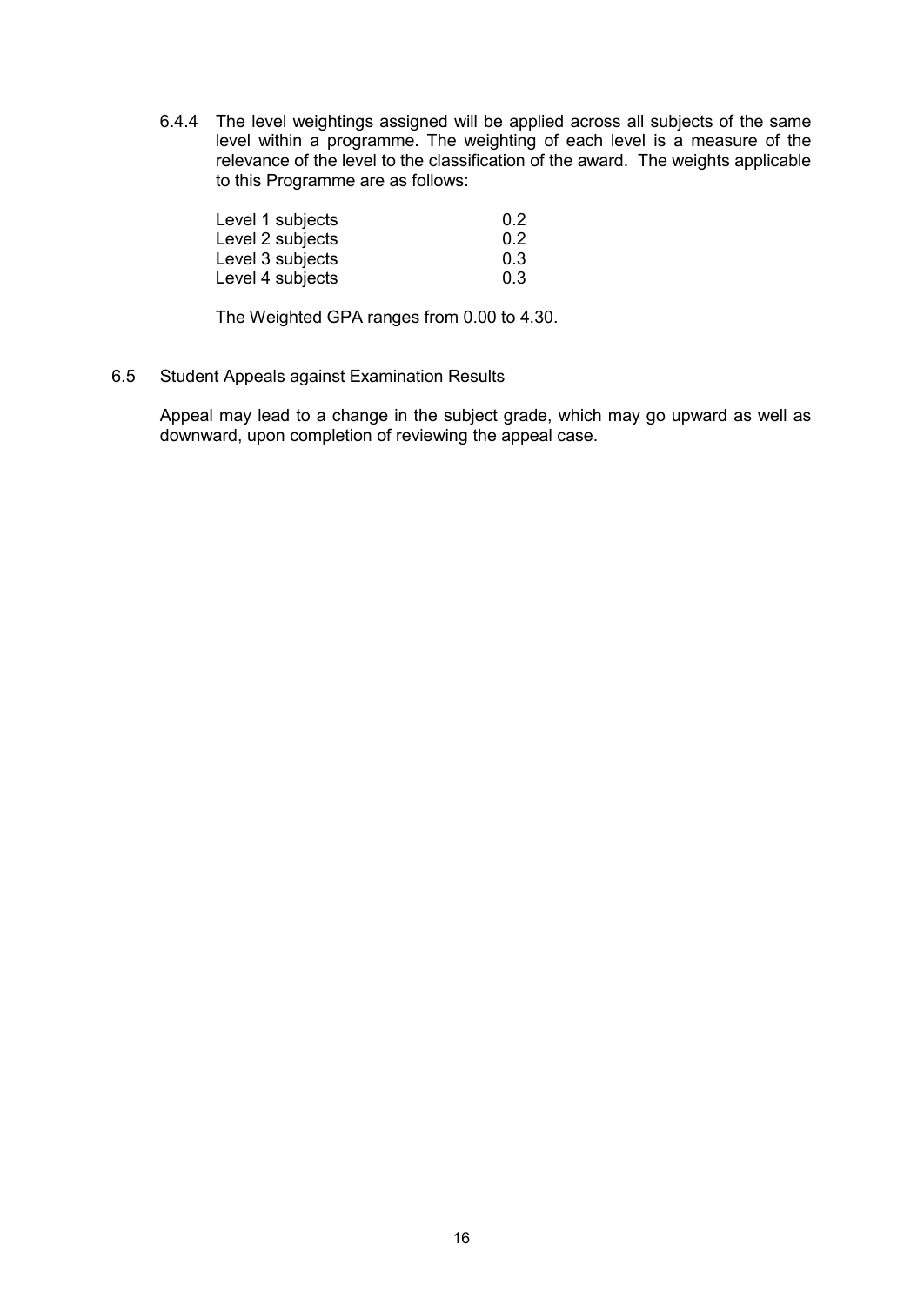6.4.4 The level weightings assigned will be applied across all subjects of the same level within a programme. The weighting of each level is a measure of the relevance of the level to the classification of the award. The weights applicable to this Programme are as follows:

| Level 1 subjects | 0.2 |
|------------------|-----|
| Level 2 subjects | 0.2 |
| Level 3 subjects | 0.3 |
| Level 4 subjects | 0.3 |

The Weighted GPA ranges from 0.00 to 4.30.

#### 6.5 Student Appeals against Examination Results

Appeal may lead to a change in the subject grade, which may go upward as well as downward, upon completion of reviewing the appeal case.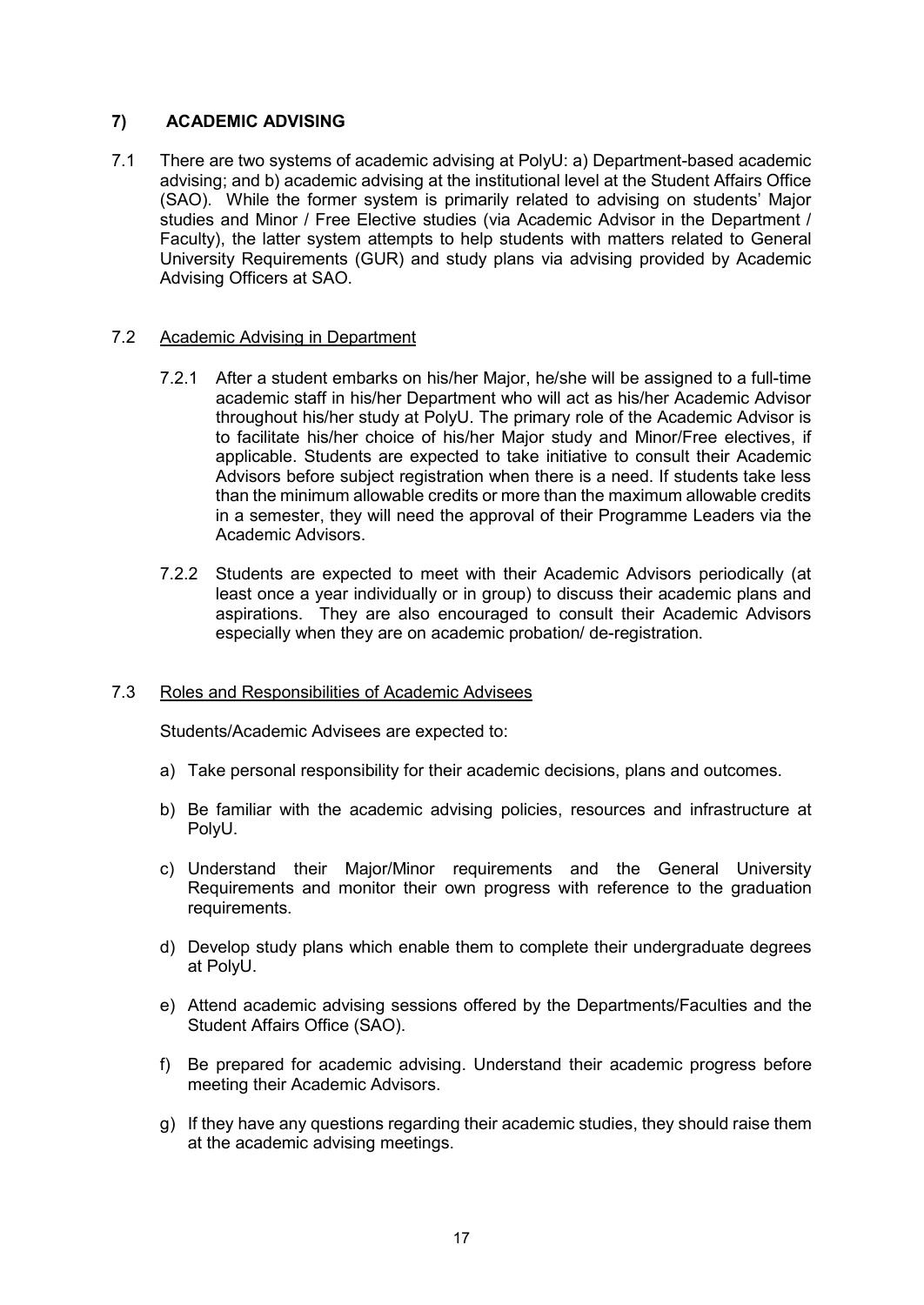## **7) ACADEMIC ADVISING**

7.1 There are two systems of academic advising at PolyU: a) Department-based academic advising; and b) academic advising at the institutional level at the Student Affairs Office (SAO). While the former system is primarily related to advising on students' Major studies and Minor / Free Elective studies (via Academic Advisor in the Department / Faculty), the latter system attempts to help students with matters related to General University Requirements (GUR) and study plans via advising provided by Academic Advising Officers at SAO.

## 7.2 Academic Advising in Department

- 7.2.1 After a student embarks on his/her Major, he/she will be assigned to a full-time academic staff in his/her Department who will act as his/her Academic Advisor throughout his/her study at PolyU. The primary role of the Academic Advisor is to facilitate his/her choice of his/her Major study and Minor/Free electives, if applicable. Students are expected to take initiative to consult their Academic Advisors before subject registration when there is a need. If students take less than the minimum allowable credits or more than the maximum allowable credits in a semester, they will need the approval of their Programme Leaders via the Academic Advisors.
- 7.2.2 Students are expected to meet with their Academic Advisors periodically (at least once a year individually or in group) to discuss their academic plans and aspirations. They are also encouraged to consult their Academic Advisors especially when they are on academic probation/ de-registration.

## 7.3 Roles and Responsibilities of Academic Advisees

Students/Academic Advisees are expected to:

- a) Take personal responsibility for their academic decisions, plans and outcomes.
- b) Be familiar with the academic advising policies, resources and infrastructure at PolyU.
- c) Understand their Major/Minor requirements and the General University Requirements and monitor their own progress with reference to the graduation requirements.
- d) Develop study plans which enable them to complete their undergraduate degrees at PolyU.
- e) Attend academic advising sessions offered by the Departments/Faculties and the Student Affairs Office (SAO).
- f) Be prepared for academic advising. Understand their academic progress before meeting their Academic Advisors.
- g) If they have any questions regarding their academic studies, they should raise them at the academic advising meetings.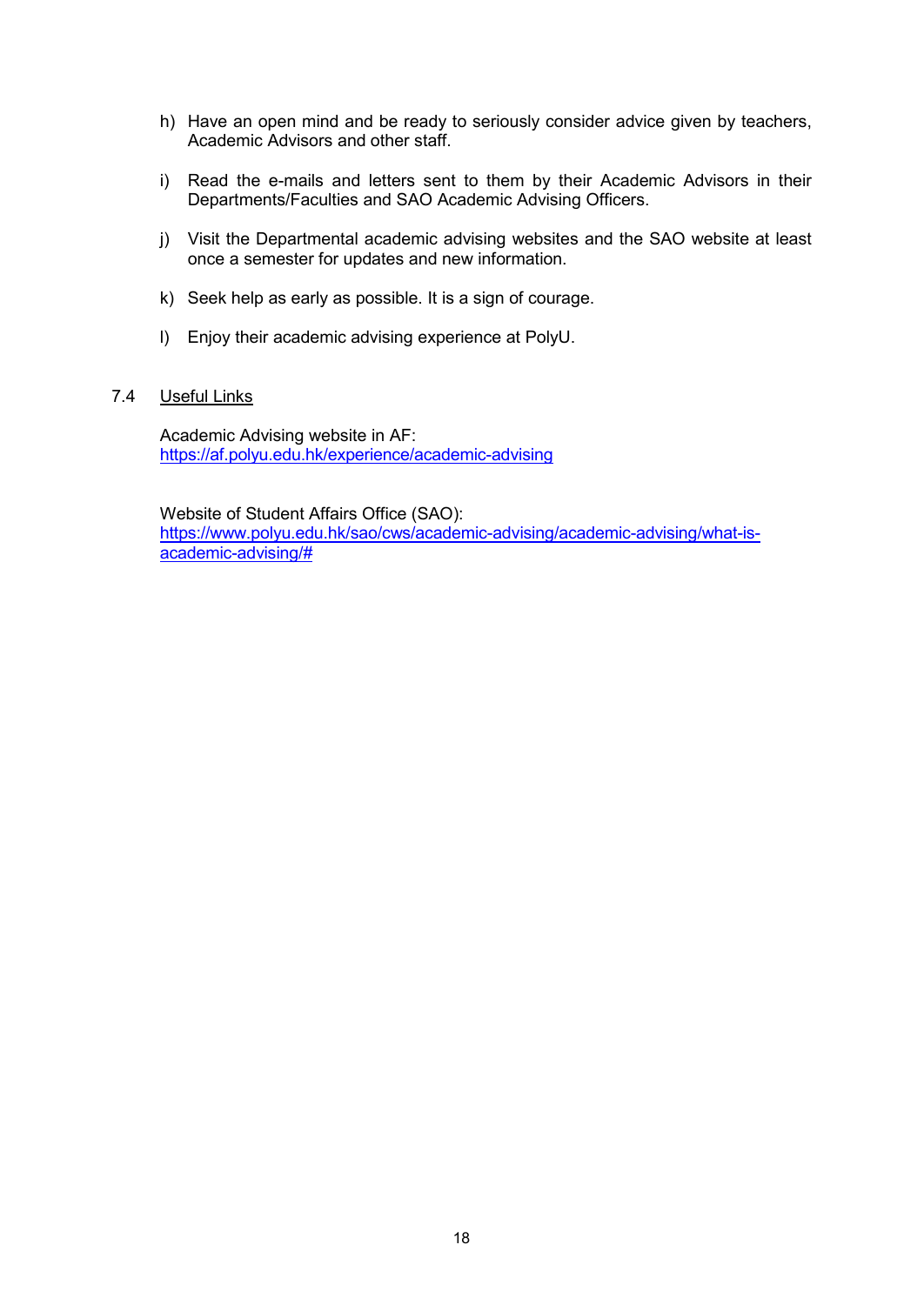- h) Have an open mind and be ready to seriously consider advice given by teachers, Academic Advisors and other staff.
- i) Read the e-mails and letters sent to them by their Academic Advisors in their Departments/Faculties and SAO Academic Advising Officers.
- j) Visit the Departmental academic advising websites and the SAO website at least once a semester for updates and new information.
- k) Seek help as early as possible. It is a sign of courage.
- l) Enjoy their academic advising experience at PolyU.

#### 7.4 Useful Links

Academic Advising website in AF: <https://af.polyu.edu.hk/experience/academic-advising>

Website of Student Affairs Office (SAO): [https://www.polyu.edu.hk/sao/cws/academic-advising/academic-advising/what-is](https://www.polyu.edu.hk/sao/cws/academic-advising/academic-advising/what-is-academic-advising/)[academic-advising/#](https://www.polyu.edu.hk/sao/cws/academic-advising/academic-advising/what-is-academic-advising/)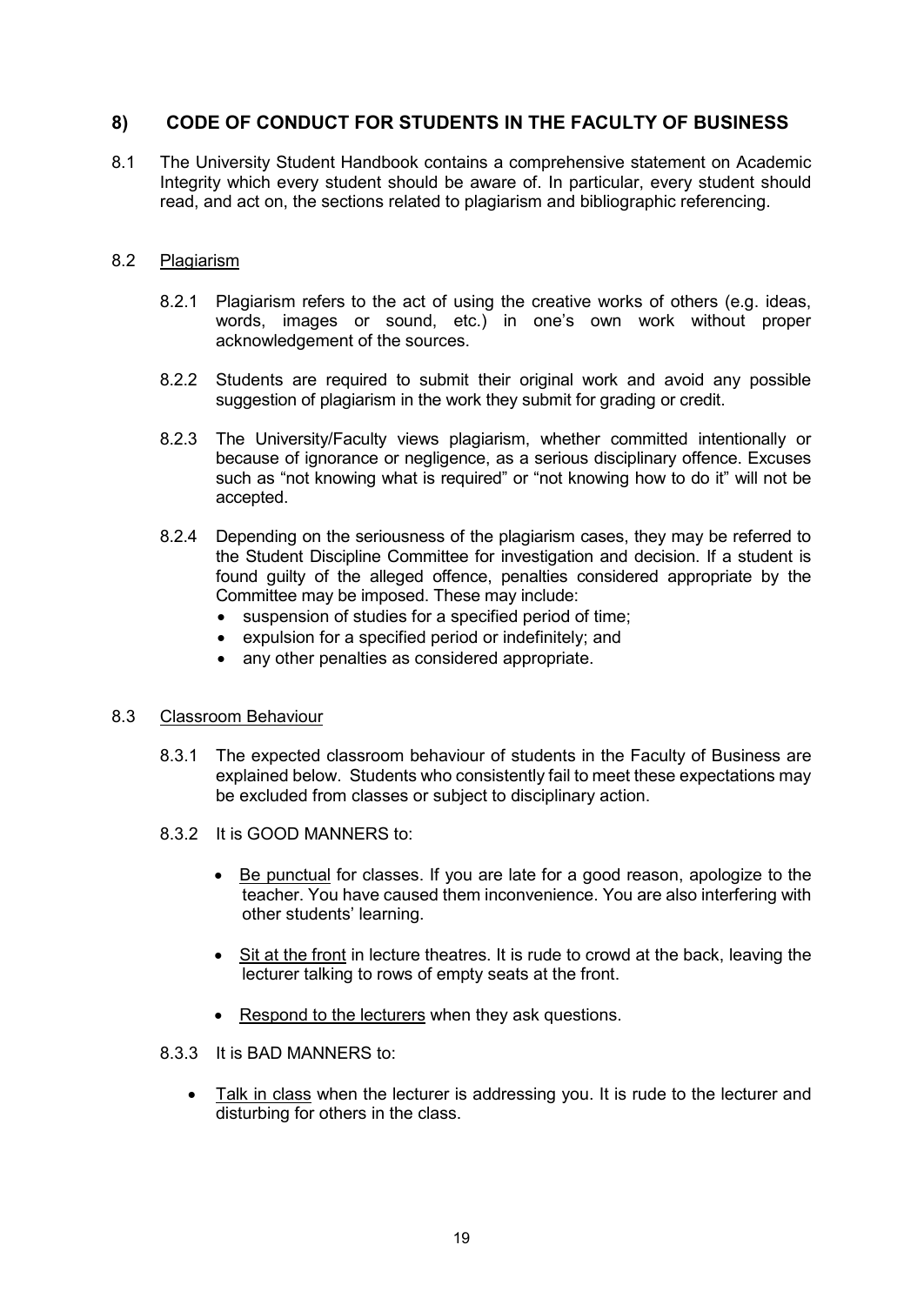## **8) CODE OF CONDUCT FOR STUDENTS IN THE FACULTY OF BUSINESS**

8.1 The University Student Handbook contains a comprehensive statement on Academic Integrity which every student should be aware of. In particular, every student should read, and act on, the sections related to plagiarism and bibliographic referencing.

#### 8.2 Plagiarism

- 8.2.1 Plagiarism refers to the act of using the creative works of others (e.g. ideas, words, images or sound, etc.) in one's own work without proper acknowledgement of the sources.
- 8.2.2 Students are required to submit their original work and avoid any possible suggestion of plagiarism in the work they submit for grading or credit.
- 8.2.3 The University/Faculty views plagiarism, whether committed intentionally or because of ignorance or negligence, as a serious disciplinary offence. Excuses such as "not knowing what is required" or "not knowing how to do it" will not be accepted.
- 8.2.4 Depending on the seriousness of the plagiarism cases, they may be referred to the Student Discipline Committee for investigation and decision. If a student is found guilty of the alleged offence, penalties considered appropriate by the Committee may be imposed. These may include:
	- suspension of studies for a specified period of time;
	- expulsion for a specified period or indefinitely; and
	- any other penalties as considered appropriate.

#### 8.3 Classroom Behaviour

- 8.3.1 The expected classroom behaviour of students in the Faculty of Business are explained below. Students who consistently fail to meet these expectations may be excluded from classes or subject to disciplinary action.
- 8.3.2 It is GOOD MANNERS to:
	- Be punctual for classes. If you are late for a good reason, apologize to the teacher. You have caused them inconvenience. You are also interfering with other students' learning.
	- Sit at the front in lecture theatres. It is rude to crowd at the back, leaving the lecturer talking to rows of empty seats at the front.
	- Respond to the lecturers when they ask questions.

## 8.3.3 It is BAD MANNERS to:

• Talk in class when the lecturer is addressing you. It is rude to the lecturer and disturbing for others in the class.